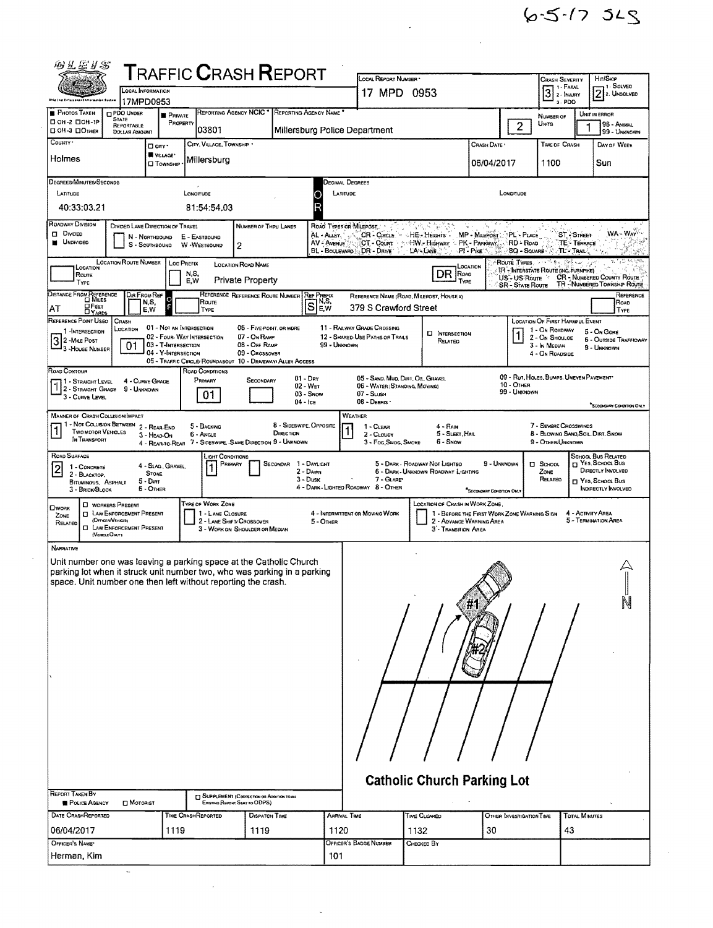$6 - 5 - 17355$ 

 $\sim$ 

 $\label{eq:2.1} \frac{1}{2} \sum_{i=1}^n \frac{1}{2} \sum_{j=1}^n \frac{1}{2} \sum_{j=1}^n \frac{1}{2} \sum_{j=1}^n \frac{1}{2} \sum_{j=1}^n \frac{1}{2} \sum_{j=1}^n \frac{1}{2} \sum_{j=1}^n \frac{1}{2} \sum_{j=1}^n \frac{1}{2} \sum_{j=1}^n \frac{1}{2} \sum_{j=1}^n \frac{1}{2} \sum_{j=1}^n \frac{1}{2} \sum_{j=1}^n \frac{1}{2} \sum_{j=1}^n \frac{$ 

|                                                                                                                                                                                                                                     | MB H A H AS                                                                                                                              |                                                                                                      |                                                                                                |                                                                             | <b>TRAFFIC CRASH REPORT</b>                         |                                                               | LOCAL REPORT NUMBER                                                                                 |                                                                                                                                   |                                          |                                                       | CRASH SEVERITY                                                                                                 |                                                                        | Hir/Skip                                                                                                             |           |
|-------------------------------------------------------------------------------------------------------------------------------------------------------------------------------------------------------------------------------------|------------------------------------------------------------------------------------------------------------------------------------------|------------------------------------------------------------------------------------------------------|------------------------------------------------------------------------------------------------|-----------------------------------------------------------------------------|-----------------------------------------------------|---------------------------------------------------------------|-----------------------------------------------------------------------------------------------------|-----------------------------------------------------------------------------------------------------------------------------------|------------------------------------------|-------------------------------------------------------|----------------------------------------------------------------------------------------------------------------|------------------------------------------------------------------------|----------------------------------------------------------------------------------------------------------------------|-----------|
| <b>Ship top Enforcement Internation Beaton</b>                                                                                                                                                                                      | LOCAL INFORMATION<br>17MPD0953                                                                                                           |                                                                                                      |                                                                                                |                                                                             |                                                     |                                                               | 17 MPD 0953                                                                                         |                                                                                                                                   |                                          |                                                       | 7 1 - Fatal<br>$ \bar{3} $<br>2 - INJURY<br>3-PDO                                                              |                                                                        | 1- SOLVED<br>$2$ 2. Unsolved                                                                                         |           |
| <b>PHOTOS TAKEN</b><br>□ ОН-2 □ ОН-1Р                                                                                                                                                                                               | PDO UNDER<br><b>STATE</b><br>REPORTABLE                                                                                                  | <b>PRIVATE</b><br>PROPERTY                                                                           | REPORTING AGENCY NCIC                                                                          |                                                                             | REPORTING AGENCY NAME                               |                                                               |                                                                                                     |                                                                                                                                   |                                          | 2                                                     | NUMBER OF<br>UNITS                                                                                             |                                                                        | UNIT IN ERROR<br>98 - ANIMAL                                                                                         |           |
| П ОН-3 ПОТНЕЯ<br>COUNTY '                                                                                                                                                                                                           | DOLLAR AMOUNT                                                                                                                            | n ciry .                                                                                             | 03801<br>CITY, VILLAGE, TOWNSHIP                                                               |                                                                             | Millersburg Police Department                       |                                                               |                                                                                                     |                                                                                                                                   | CRASH DATE                               |                                                       | TIME OF CRASH                                                                                                  |                                                                        | 99 - UNKNOWN<br>DAY OF WEEK                                                                                          |           |
| Holmes                                                                                                                                                                                                                              |                                                                                                                                          | <b>W</b> VILLAGE*<br><b>D</b> TOWNSHIP                                                               | Millersburg                                                                                    |                                                                             |                                                     |                                                               |                                                                                                     |                                                                                                                                   | 06/04/2017                               |                                                       | 1100                                                                                                           |                                                                        | Sun                                                                                                                  |           |
| DEGREES/MINUTES/SECONDS                                                                                                                                                                                                             |                                                                                                                                          |                                                                                                      |                                                                                                |                                                                             |                                                     | <b>DECIMAL DEGREES</b>                                        |                                                                                                     |                                                                                                                                   |                                          |                                                       |                                                                                                                |                                                                        |                                                                                                                      |           |
| LATITUDE<br>40:33:03.21                                                                                                                                                                                                             |                                                                                                                                          |                                                                                                      | LONGITUDE<br>81:54:54.03                                                                       |                                                                             |                                                     | LATITUDE                                                      |                                                                                                     |                                                                                                                                   |                                          | LONGITUDE                                             |                                                                                                                |                                                                        |                                                                                                                      |           |
| <b>ROADWAY DIVISION</b><br>Diviped<br><b>UNDIVIDED</b>                                                                                                                                                                              |                                                                                                                                          | DIVIDED LANE DIRECTION OF TRAVEL<br>N - NORTHBOUND<br>S - SOUTHBOUND                                 | E - EASTBOUND<br>W -WESTBOUND                                                                  | NUMBER OF THRU LANES<br>2                                                   |                                                     | ROAD TYPES OR MILEPOST.<br>AL - Ausv. -<br><b>AV - AVENUE</b> | CT - COURT<br>BL - BOULEVARD - DR - DRIVE                                                           | CR Circus - HE Heights<br><b>HW .- Highway :: PK - Parkway  RD - Road</b><br>LA-LANE                                              | MP - MILEPOST : PL - PLACE<br>PI-Pike    | SQ - SQUARE -                                         |                                                                                                                | ST - STREET<br>TE - TERRACE<br>$\sim$ TL $^{\circ}$ : Trail $\lesssim$ | WA-WAY                                                                                                               |           |
| LOCATION<br>Route<br>TYPE                                                                                                                                                                                                           | <b>LOCATION ROUTE NUMBER</b>                                                                                                             | Loc Prefix                                                                                           | N,S,<br>E.W                                                                                    | <b>LOCATION ROAD NAME</b><br>Private Property                               |                                                     |                                                               |                                                                                                     | DR ROAD<br>TYPE                                                                                                                   | LOCATION                                 | Route Types<br>US-US Route<br><b>SR - STATE ROUTE</b> | IR - INTERSTATE ROUTE (INC. TURNPIKE)                                                                          |                                                                        | <b>CR</b> - NUMBERED COUNTY ROUTE<br>TR - NUMBERED TOWNSHIP ROUTE                                                    |           |
| DISTANCE FROM REFERENCE<br><b>OFEET</b><br>AT                                                                                                                                                                                       | Dir From Ref                                                                                                                             | $\circ$<br>N,S,<br>E.W                                                                               | Route<br>TYPE                                                                                  | REFERENCE REFERENCE ROUTE NUMBER                                            | <b>REF PREFIX</b><br>ls                             | N,S,<br>E.W                                                   | 379 S Crawford Street                                                                               | REFERENCE NAME (ROAD, MILEPOST, HOUSE 4)                                                                                          |                                          |                                                       |                                                                                                                |                                                                        | Road<br>TYPE                                                                                                         | Reference |
| REFERENCE POINT USED<br>1 - INTERSECTION<br>32-Male Post<br>J <sub>3</sub> - House Number                                                                                                                                           | <b>CRASH</b><br>LOCATION<br>01                                                                                                           | 01 - NOT AN INTERSECTION<br>02 - FOUR WAY INTERSECTION<br>03 - T-INTERSECTION<br>04 - Y-Intersection |                                                                                                | 06 - FIVE POINT, OR MORE<br>07 - On RAMP<br>08 - OFF RAMP<br>09 - CROSSOVER |                                                     | 99 - UNKNOWN                                                  | 11 - RAILWAY GRADE CROSSING<br>12 - SHARED-USE PATHS OR TRAILS                                      | <b>CI INTERSECTION</b><br>RELATED                                                                                                 |                                          |                                                       | <b>LOCATION OF FIRST HARMFUL EVENT</b><br>1 - On ROADWAY<br>2 - On Shouloe<br>3 - In MEDIAN<br>4 - On ROADSIDE |                                                                        | 5 - On Gore<br><b>6 - OUTSIDE TRAFFICWAY</b><br>9 - UNKNOWN                                                          |           |
| ROAD CONTOUR<br>1 - STRAIGHT LEVEL<br>12 - Straight Grade<br>3 - CURVE LEVEL                                                                                                                                                        | 4 - CURVE GRADE<br>9 - UNKNOWN                                                                                                           |                                                                                                      | 05 - TRAFFIC CIRCLE/ROUNDABOUT 10 - DRIVEWAY/ ALLEY ACCESS<br>ROAD CONDITIONS<br>PRIMARY<br>01 | <b>SECONDARY</b>                                                            | $01 - Drx$<br>02 - WET<br>$03 -$ Snow<br>$04 -$ Ice |                                                               | 05 - SAND, MUD, DIRT, OIL, GRAVEL<br>06 - WATER (STANDING, MOVING)<br>$07 -$ SLUSH<br>08 - DEBRIS * |                                                                                                                                   |                                          | 10 - OTHER<br>99 - UNKNOWN                            | 09 - RUT, HOLES, BUMPS, UNEVEN PAVEMENT*                                                                       |                                                                        |                                                                                                                      |           |
| <b>MANNER OF CRASH COLLISION/IMPACT</b><br>11 - Not Collision Between 2 - Rear-End<br>TWO MOTOR VEHICLES<br>In Transport                                                                                                            |                                                                                                                                          | 3 - HEAD-ON                                                                                          | 5 - BACKING<br>6 - ANGLE<br>4 - REAR-TO-REAR 7 - SIDESWIPE, SAME DIRECTION 9 - UNKNOWN         |                                                                             | 8 - Sineswipe, Opposite<br>DIRECTION                |                                                               | WEATHER<br>1 - CLEAR<br>2 - CLOUDY<br>3 - Fog, Smog, Smoke                                          | $4 - R$ ain<br>5 - SLEET, HAIL<br>6 - SNOW                                                                                        |                                          |                                                       | 7 - SEVERE CROSSWINDS<br>8 - BLOWING SAND, SOIL, DIRT, SNOW<br>9 - OTHER/UNKNOWN                               |                                                                        | SECONDARY CONDITION ONLY                                                                                             |           |
| ROAD SURFACE<br>$\overline{2}$<br>1 - CONCRETE<br>2 - BLACKTOP.<br>BITUMINOUS, ASPHALT<br>3 - BRICK/BLOCK                                                                                                                           |                                                                                                                                          | 4 - SLAG, GRAVEL.<br><b>STONE</b><br>$5 -$ Dirt<br><b>6 - OTHER</b>                                  | LIGHT CONDITIONS<br>Primary                                                                    |                                                                             | SECONDAR 1 - DAYLIGHT<br>2 - Dawn<br>$3 - D$ usk    |                                                               | 7 - GLARE*<br>4 - DARK LIGHTED ROADWAY 8 - OTHER                                                    | 5 - DARK - ROADWAY NOT LIGHTEO<br>6 - DARK - UNKNOWN ROADWAY LIGHTING                                                             | 9 - Unknown<br>*SECONDARY CONDITION ONLY |                                                       | <b>D</b> SCHOOL<br>ZONE<br>RELATED                                                                             |                                                                        | SCHOOL BUS RELATED<br>$\Box$ YES, SCHOOL BUS<br>DIRECTLY INVOLVED<br>T YES, SCHOOL BUS<br><b>INDIRECTLY INVOLVED</b> |           |
| <b>OWORK</b><br>ZONE<br>RELATED                                                                                                                                                                                                     | <b>CI WORKERS PRESENT</b><br><b>I LAW ENFORCEMENT PRESENT</b><br>(OFFICER/VEHICLE)<br><b>D</b> LAW ENFORCEMENT PRESENT<br>(VEHICLE ONLY) |                                                                                                      | TYPE OF WORK ZONE<br>1 - LANE CLOSURE                                                          | 2 - LANE SHIFT/ CROSSOVER<br>3 - WORK ON SHOULDER OR MEDIAN                 |                                                     | 5 - OTHER                                                     | 4 - INTERMITTENT OR MOVING WORK                                                                     | LOCATION OF CRASH IN WORK ZONE.<br>1 - BEFORE THE FIRST WORK ZONE WARNING SIGN<br>2 - ADVANCE WARNING AREA<br>3 - TRANSITION AREA |                                          |                                                       |                                                                                                                | 4 - ACTIVITY AREA                                                      | 5 - TERMINATION AREA                                                                                                 |           |
| <b>NARRATIVE</b><br>Unit number one was leaving a parking space at the Catholic Church<br>parking lot when it struck unit number two, who was parking in a parking<br>space. Unit number one then left without reporting the crash. |                                                                                                                                          |                                                                                                      |                                                                                                |                                                                             |                                                     |                                                               |                                                                                                     |                                                                                                                                   |                                          |                                                       |                                                                                                                |                                                                        |                                                                                                                      |           |
|                                                                                                                                                                                                                                     |                                                                                                                                          |                                                                                                      |                                                                                                |                                                                             |                                                     |                                                               |                                                                                                     | <b>Catholic Church Parking Lot</b>                                                                                                |                                          |                                                       |                                                                                                                |                                                                        |                                                                                                                      |           |
| <b>REPORT TAKEN BY</b><br>POLICE AGENCY<br>DATE CRASHREPORTED                                                                                                                                                                       | $\square$ Motorist                                                                                                                       |                                                                                                      | <b>DISUPPLEMENT (CORRECTION OF ADDITION TO AN</b><br>TIME CRASHREPORTED                        | EXISTING REPORT SENT TO ODPS)<br><b>DISPATCH TIME</b>                       |                                                     | ARRIVAL TIME                                                  |                                                                                                     | TIME CLEARED                                                                                                                      |                                          | OTHER INVESTIGATION TIME                              |                                                                                                                | <b>TOTAL MINUTES</b>                                                   |                                                                                                                      |           |
| 06/04/2017<br>OFFICER'S NAME*                                                                                                                                                                                                       |                                                                                                                                          | 1119                                                                                                 |                                                                                                | 1119                                                                        |                                                     | 1120                                                          | OFFICER'S BADGE NUMBER                                                                              | 1132                                                                                                                              | 30                                       |                                                       | 43                                                                                                             |                                                                        |                                                                                                                      |           |

 $\sim 10^{11}$ 

 $\label{eq:2.1} \frac{1}{\sqrt{2\pi}}\int_{0}^{\infty}\frac{1}{\sqrt{2\pi}}\left(\frac{1}{\sqrt{2\pi}}\right)^{2\alpha} \frac{1}{\sqrt{2\pi}}\int_{0}^{\infty}\frac{1}{\sqrt{2\pi}}\frac{1}{\sqrt{2\pi}}\frac{1}{\sqrt{2\pi}}\frac{1}{\sqrt{2\pi}}\frac{1}{\sqrt{2\pi}}\frac{1}{\sqrt{2\pi}}\frac{1}{\sqrt{2\pi}}\frac{1}{\sqrt{2\pi}}\frac{1}{\sqrt{2\pi}}\frac{1}{\sqrt{2\pi}}\frac{1}{\sqrt{2\pi}}\frac{$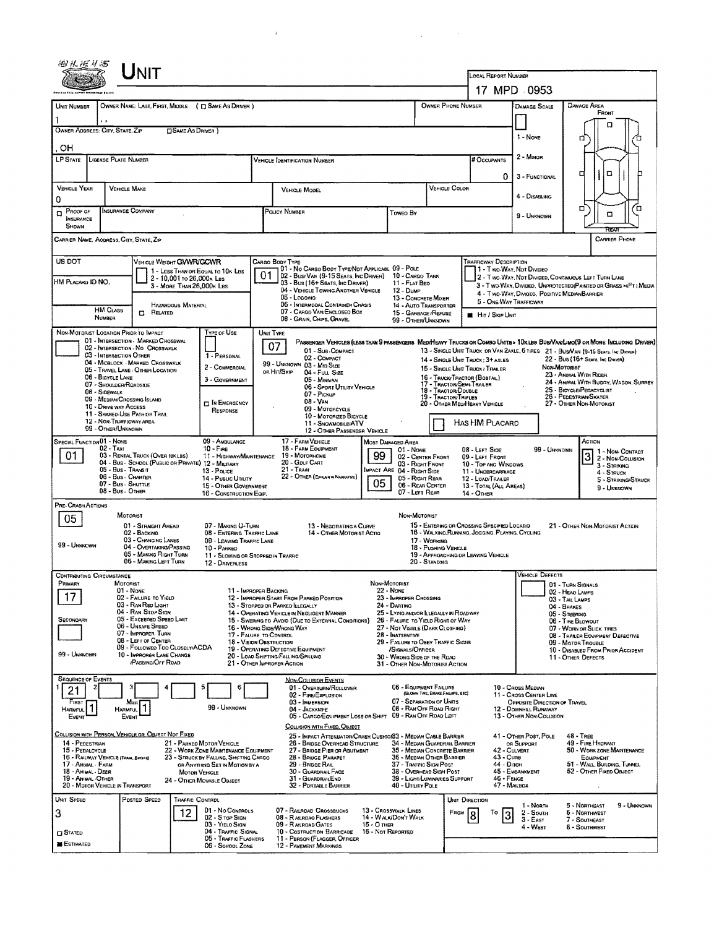|                                                            |                                                              | Unit                                                                 |                            |                                                                               |                         |                                                                                                                                     |                                    |                                                                                             |                                  |                                                  |                                                                                                 |                                                                                                                  |                                                   |                                                             |                                       |
|------------------------------------------------------------|--------------------------------------------------------------|----------------------------------------------------------------------|----------------------------|-------------------------------------------------------------------------------|-------------------------|-------------------------------------------------------------------------------------------------------------------------------------|------------------------------------|---------------------------------------------------------------------------------------------|----------------------------------|--------------------------------------------------|-------------------------------------------------------------------------------------------------|------------------------------------------------------------------------------------------------------------------|---------------------------------------------------|-------------------------------------------------------------|---------------------------------------|
|                                                            |                                                              |                                                                      |                            |                                                                               |                         |                                                                                                                                     |                                    |                                                                                             |                                  |                                                  | <b>LOCAL REPORT NUMBER</b>                                                                      | 17 MPD 0953                                                                                                      |                                                   |                                                             |                                       |
|                                                            |                                                              |                                                                      |                            |                                                                               |                         |                                                                                                                                     |                                    |                                                                                             |                                  | <b>OWNER PHONE NUMBER</b>                        |                                                                                                 |                                                                                                                  | DAMAGE AREA                                       |                                                             |                                       |
| UNIT NUMBER                                                |                                                              |                                                                      |                            | OWNER NAME: LAST, FIRST, MIDDLE ( Q SAME AS DRIVER )                          |                         |                                                                                                                                     |                                    |                                                                                             |                                  |                                                  |                                                                                                 | <b>DAMAGE SCALE</b>                                                                                              |                                                   | FRONT                                                       |                                       |
| OWNER ADDRESS: CITY, STATE, ZIP                            |                                                              |                                                                      | <b>SAME AS DRIVER</b> )    |                                                                               |                         |                                                                                                                                     |                                    |                                                                                             |                                  |                                                  |                                                                                                 | 1 - NONE                                                                                                         |                                                   |                                                             |                                       |
| он                                                         |                                                              |                                                                      |                            |                                                                               |                         |                                                                                                                                     |                                    |                                                                                             |                                  |                                                  |                                                                                                 |                                                                                                                  | a                                                 |                                                             |                                       |
| LP STATE                                                   | <b>LICENSE PLATE NUMBER</b>                                  |                                                                      |                            |                                                                               |                         | <b>VEHICLE IDENTIFICATION NUMBER</b>                                                                                                |                                    |                                                                                             |                                  |                                                  | # Occupants                                                                                     | 2 - MINOR                                                                                                        |                                                   |                                                             |                                       |
|                                                            |                                                              |                                                                      |                            |                                                                               |                         |                                                                                                                                     |                                    |                                                                                             |                                  |                                                  | 0                                                                                               | 3 - FUNCTIONAL                                                                                                   | о                                                 | □                                                           |                                       |
| <b>VEHICLE YEAR</b><br>0                                   | <b>VEHICLE MAKE</b>                                          |                                                                      |                            |                                                                               |                         | <b>VEHICLE MODEL</b>                                                                                                                |                                    |                                                                                             |                                  | VEHICLE COLOR                                    |                                                                                                 | 4 - DISABLING                                                                                                    |                                                   |                                                             |                                       |
| PROOF OF<br>$\Box$                                         | INSURANCE COMPANY                                            |                                                                      |                            |                                                                               |                         | POLICY NUMBER                                                                                                                       |                                    | Toweo By                                                                                    |                                  |                                                  |                                                                                                 | 9 - UNKNOWN                                                                                                      | о                                                 | O                                                           | o                                     |
| INSURANCE<br><b>SHOWN</b>                                  |                                                              |                                                                      |                            |                                                                               |                         |                                                                                                                                     |                                    |                                                                                             |                                  |                                                  |                                                                                                 |                                                                                                                  |                                                   | PEA                                                         |                                       |
| CARRIER NAME, AODRESS, CITY, STATE, ZIP                    |                                                              |                                                                      |                            |                                                                               |                         |                                                                                                                                     |                                    |                                                                                             |                                  |                                                  |                                                                                                 |                                                                                                                  |                                                   | <b>CARRIER PHONE</b>                                        |                                       |
| US DOT                                                     |                                                              | VEHICLE WEIGHT GWWR/GCWR                                             |                            |                                                                               | Cargo Body Type         |                                                                                                                                     |                                    |                                                                                             |                                  |                                                  | TRAFFICWAY DESCRIPTION                                                                          |                                                                                                                  |                                                   |                                                             |                                       |
| HM PLACARD ID NO.                                          |                                                              |                                                                      | 2 - 10,001 to 26,000k LBs  | 1 - LESS THAN OR EQUAL TO 10K LBS                                             | 01                      | 01 - No CARGO BODY TYPE/NOT APPLICABL 09 - POLE<br>02 - Busi Van (9-15 Seats, Inc Driver)                                           |                                    | 10 - CARGO TANK                                                                             |                                  |                                                  |                                                                                                 | 1 - Two-Way, Not Divideo<br>2 - Two-Way, Not Divided, Continuous Left Turn Lane                                  |                                                   |                                                             |                                       |
|                                                            |                                                              |                                                                      | 3 - MORE THAN 26,000K LBS. |                                                                               |                         | 03 - Bus (16+ Seats, Inc DRIVER)<br>04 - VEHICLE TOWING ANOTHER VEHICLE<br>05 - LOGGING                                             |                                    | 11 - FLAT BED<br>12 - Duse<br>13 - CONCRETE MIXER                                           |                                  |                                                  |                                                                                                 | 3 - Two-WAY, DIVIDEO, UNPROTECTEO(PAINTED OR GRASS >4FT.) MEDIA<br>4 - Two-Way, Divideo, Positive Median Barrier |                                                   |                                                             |                                       |
|                                                            | <b>HM CLASS</b>                                              | $\Box$ Related                                                       | HAZARDOUS MATERIAL         |                                                                               |                         | 06 - INTERMODAL CONTAINER CHASIS<br>07 - CARGO VAN ENCLOSEO BOX                                                                     |                                    | 14 - AUTO TRANSPORTER<br>15 - GARBAGE (REFUSE                                               |                                  |                                                  |                                                                                                 | 5 - ONE-WAY TRAFFICWAY                                                                                           |                                                   |                                                             |                                       |
|                                                            | NUMBER                                                       |                                                                      |                            |                                                                               |                         | 08 - GRAIN, CHIPS, GRAVEL                                                                                                           |                                    | 99 - OTHER/UNKNOWN                                                                          |                                  |                                                  | <b>H</b> HIT / SKIP UNIT                                                                        |                                                                                                                  |                                                   |                                                             |                                       |
| NON-MOTORIST LOCATION PRIOR TO IMPACT                      |                                                              | 01 - INTERSECTION MARKED CROSSWAL                                    |                            | TYPE OF USE                                                                   | UNIT TYPE<br>07         | PASSENGER VEHICLES (LESS THAN 9 PASSENGERS MED/HEAVY TRUCKS OR COMBO UNITS > 10K LBS BUS/VAWLIMO(9 OR MORE INCLUDING DRIVER)        |                                    |                                                                                             |                                  |                                                  |                                                                                                 |                                                                                                                  |                                                   |                                                             |                                       |
|                                                            | 03 - INTERSECTION OTHER                                      | 02 - INTERSECTION - NO CROSSWALK<br>04 - MIOBLOCK - MARKED CROSSWALK |                            | 1 - PERSDNAL                                                                  |                         | 01 - Sub-COMPACT<br>02 - COMPACT                                                                                                    |                                    |                                                                                             |                                  |                                                  | 14 - SINGLE UNIT TRUCK : 3+ AXLES                                                               | 13 - SINGLE UNIT TRUCK OR VAN 2AXLE, 6 TIRES 21 - BUSNAN (9-15 SEATS, INC DIRNER)                                |                                                   | 22 - BUS (16+ SEATS, INC DRIVER)                            |                                       |
|                                                            | 06 - BICYCLE LANE                                            | 05 - TRAVEL LANE - OTHER LOCATION                                    |                            | 2 - COMMERCIAL                                                                |                         | 99 - UNKNOWN 03 - MID SIZE<br>or Hit/Skip<br>04 - FULL SIZE                                                                         |                                    |                                                                                             |                                  |                                                  | 15 - SINGLE UNIT TRUCK / TRAILER<br>16 - Truck/Tractor (Bobtall)                                |                                                                                                                  | Non-Moronist<br>23 - Animal With Rider            |                                                             |                                       |
|                                                            | 07 - SHOULDER/ROADSIDE<br>08 - SIDEWALK                      |                                                                      |                            | 3 - GOVERNMENT                                                                |                         | 05 - Minivan<br>06 - Sport Utility Vehicle<br>07 - Pickup                                                                           |                                    |                                                                                             |                                  | 17 - TRACTOR/SEMI-TRAILER<br>18 - TRACTOR/DOUBLE |                                                                                                 |                                                                                                                  | 25 - BICYCLEIPEDACYCLIST                          |                                                             | 24 - ANIMAL WITH BUGGY, WAGON, SURREY |
|                                                            | 09 - Median/Crossing Island<br>10 - DHIVE WAY ACCESS         |                                                                      |                            | IN EMERGENCY                                                                  |                         | 08 - VAN<br>09 - MOTORCYCLE                                                                                                         |                                    |                                                                                             |                                  | 19 - TRACTOR/TRIPLES                             | 20 - OTHER MEDIHEAVY VEHICLE                                                                    |                                                                                                                  | 26 - PEDESTRIAN/SKATER<br>27 - OTHER NON-MOTORIST |                                                             |                                       |
|                                                            | 12 - NON-TRAFFICWAY AREA                                     | 11 - SHARED-USE PATH OR TRAIL                                        |                            | RESPONSE                                                                      |                         | 10 - MOTORIZED BICYCLE<br>11 - SNOWMOBILE/ATV                                                                                       |                                    |                                                                                             |                                  |                                                  | HAS HM PLACARD                                                                                  |                                                                                                                  |                                                   |                                                             |                                       |
| SPECIAL FUNCTION 01 - NONE                                 | 99 - OTHER/UNKNOWN                                           |                                                                      |                            | 09 - AMBULANCE                                                                |                         | 12 - OTHER PASSENGER VEHICLE<br>17 - FARM VEHICLE                                                                                   |                                    | <b>MOST DAMAGED AREA</b>                                                                    |                                  |                                                  |                                                                                                 |                                                                                                                  |                                                   | ACTION                                                      |                                       |
| 01                                                         | $02 - T_{AM}$                                                | 03 - RENTAL TRUCK (OVER 10KLBS)                                      |                            | $10 -$ Fine<br>11 - HIGHWAY/MAINTENANCE                                       |                         | <b>18 FARM EQUIPMENT</b><br>19 - Мотокноме                                                                                          | 99                                 | $01 - None$<br>02 - CENTER FRONT                                                            |                                  |                                                  | 08 - Lerr Side<br>09 - LEFT FRONT                                                               | 99 - Unknown                                                                                                     |                                                   | 1 - Non Contact<br>$\overline{3}$<br>2 - NON-COLLISION      |                                       |
|                                                            | 05 - Bus - Transit                                           | 04 - Bus - SCHOOL (PUBLIC OR PRIVATE) 12 - MILITARY                  |                            | 13 - Pouce                                                                    |                         | 20 - GDLF CART<br>$21 -$ Train                                                                                                      |                                    | 03 - RIGHT FRONT<br>MPACT ARE 04 - RIGHT SIDE                                               |                                  |                                                  | 10 - TOP AND WINDOWS<br>11 - UNDERCARRIAGE                                                      |                                                                                                                  |                                                   | 3 - STRIKING<br>4 - STRUCK                                  |                                       |
|                                                            | 06 - Bus - Charter<br>07 - Bus - SHUTTLE<br>08 - Bus - OTHER |                                                                      |                            | 14 - PUBLIC UTALITY<br>15 - OTHER GOVERNMENT                                  |                         | 22 - OTHER (EXPLAN IN NARRATIVE)                                                                                                    | 05                                 | 05 - RIGHT REAR<br>06 - REAR CENTER                                                         |                                  |                                                  | 12 - LOAD/TRAILER<br>13 - TOTAL (ALL AREAS)                                                     |                                                                                                                  |                                                   | 9 - UNKNOWN                                                 | 5 - STRIKING/STRUCK                   |
| PRE-CRASH ACTIONS                                          |                                                              |                                                                      |                            | 16 - CONSTRUCTION EQIP.                                                       |                         |                                                                                                                                     |                                    | 07 - LEFT REAR                                                                              |                                  |                                                  | <b>14 - OTHER</b>                                                                               |                                                                                                                  |                                                   |                                                             |                                       |
| 05                                                         | MOTORIST                                                     |                                                                      |                            |                                                                               |                         |                                                                                                                                     |                                    | NON-MOTORIST                                                                                |                                  |                                                  |                                                                                                 |                                                                                                                  |                                                   |                                                             |                                       |
|                                                            |                                                              | 01 - STRAIGHT AHEAD<br>02 - BACKING<br>03 - CHANGING LANES           |                            | 07 - MAKING U-TURN<br>08 - ENTERING TRAFFIC LANE<br>09 - LEAVING TRAFFIC LANE |                         | 13 - NEGOTIATING A CURVE<br>14 - OTHER MOTORIST ACTIO                                                                               |                                    |                                                                                             | 17 - WORKING                     |                                                  | 15 - ENTERING OR CROSSING SPECIFIED LOCATIO<br>16 - WALKING, RUNNING, JOGGING, PLAYING, CYCLING |                                                                                                                  |                                                   | 21 - OTHER NON-MOTORIST ACTION                              |                                       |
| 99 - UNKNOWN                                               |                                                              | 04 - OVERTAKING/PASSING<br>05 - MAKING RIGHT TURN                    |                            | 10 - PARKED<br>11 - SLOWING OR STOPPED IN TRAFFIC                             |                         |                                                                                                                                     |                                    |                                                                                             | 18 - PUSHING VEHICLE             |                                                  | 19 - APPROACHING OR LEAVING VEHICLE                                                             |                                                                                                                  |                                                   |                                                             |                                       |
|                                                            |                                                              | 06 - MAKING LEFT TURN                                                |                            | 12 - DRIVERLESS                                                               |                         |                                                                                                                                     |                                    |                                                                                             | 20 - Standing                    |                                                  |                                                                                                 |                                                                                                                  |                                                   |                                                             |                                       |
| <b>CONTRIBUTING CIRCUMSTANCE</b><br>PRIMARY                | MOTORIST                                                     |                                                                      |                            |                                                                               |                         |                                                                                                                                     | Non-Motorist                       |                                                                                             |                                  |                                                  |                                                                                                 | <b>VEHICLE DEFECTS</b>                                                                                           | 01 - TURN SIGNALS                                 |                                                             |                                       |
| 17                                                         | $01 - None$                                                  | 02 - FAILURE TO YIELD<br>03 - RAN RED LIGHT                          |                            |                                                                               | 11 - IMPROPER BACKING   | 12 - IMPROPER START FROM PARKED POSITION                                                                                            | $22 - None$                        | 23 - IMPROPER CROSSING                                                                      |                                  |                                                  |                                                                                                 |                                                                                                                  | 02 - HEAO LAMPS<br>03 - TAIL LAMPS                |                                                             |                                       |
| SECONDARY                                                  |                                                              | 04 - RAN STOP SIGN<br>05 - Excesoso Speso Limit                      |                            |                                                                               |                         | 13 - STOPPED OR PARKED LLEGALLY<br>14 - OPERATING VEHICLE IN NEGLIGENT MANNER<br>15 - Swering to Avoid (Due to External Conditions) |                                    | 24 - DARTING<br>25 - LYING AND/OR ILLEGALLY IN ROADWAY<br>26 - FALURE TO YIELD RIGHT OF WAY |                                  |                                                  |                                                                                                 |                                                                                                                  | 04 - BRAKES<br>05 - STEERING<br>06 - TIRE BLOWOUT |                                                             |                                       |
|                                                            |                                                              | 06 - Unsafe Speed<br>07 - IMPROPER TURN                              |                            | 17 - FALURE TO CONTROL                                                        |                         | 16 - WRONG SIDE/WRONG WAY                                                                                                           |                                    | 27 - NOT VISIBLE (DARK CLOTHING)<br>28 INATTENTIVE                                          |                                  |                                                  |                                                                                                 |                                                                                                                  |                                                   | 07 - WORN OR SLICK TIRES<br>08 - TRANER EQUIPMENT DEFECTIVE |                                       |
|                                                            |                                                              | 08 - LEFT OF CENTER<br>09 - FOLLOWEO TOO CLOSELY/ACDA                |                            |                                                                               | 18 - VISION OBSTRUCTION | 19 - OPERATING DEFECTIVE EQUIPMENT                                                                                                  |                                    | 29 - FAILURE TO OBEY TRAFFIC SIGNS<br>/SIGNALS/OFFICER                                      |                                  |                                                  |                                                                                                 |                                                                                                                  | 09 - MOTOR TROUBLE                                | 10 - DISABLED FROM PRIOR ACCIDENT                           |                                       |
| 99 - UNKNOWN                                               |                                                              | 10 - IMPROPER LANE CHANGE<br><b>PASSING/OFF ROAD</b>                 |                            |                                                                               |                         | 20 - LOAD SHIFTING/FALLING/SPILLING<br>21 - OTHER IMPROPER ACTION                                                                   |                                    | 30 - WRONG SIDE OF THE RDAD<br>31 - OTHER NON-MOTORIST ACTION                               |                                  |                                                  |                                                                                                 |                                                                                                                  | 11 - OTHER DEFECTS                                |                                                             |                                       |
| <b>SEQUENCE OF EVENTS</b>                                  |                                                              |                                                                      |                            |                                                                               |                         | NON-COLLISION EVENTS                                                                                                                |                                    |                                                                                             |                                  |                                                  |                                                                                                 |                                                                                                                  |                                                   |                                                             |                                       |
| 21<br>FIRST                                                |                                                              | Most                                                                 |                            | 5<br>6                                                                        |                         | 01 - OVERTURN/ROLLOVER<br>02 - FIRE/EXPLOSION<br>03 - IMMERSION                                                                     |                                    | 06 - EQUIPMENT FAILURE<br>07 - SEPARATION OF UNITS                                          | (BLOWN TIRE, BRAKE FAILURE, ETC) |                                                  |                                                                                                 | 10 - Cross Median<br>11 - CROSS CENTER LINE<br>OPPOSITE DIRECTION OF TRAVEL                                      |                                                   |                                                             |                                       |
| HARMFUL <sup>1</sup><br>Event                              | <b>HARMFUL</b><br>EVENT                                      |                                                                      |                            | 99 - UNKNOWN                                                                  |                         | 04 - JACKKNIFE<br>05 - CARGO/EQUIPMENT LOSS OR SHIFT 09 - RAN OFF ROAD LEFT                                                         |                                    | 08 - RAN OFF ROAD RIGHT                                                                     |                                  |                                                  |                                                                                                 | 12 - DOWNHAL RUNAWAY<br>13 - OTHER NON-COLLISION                                                                 |                                                   |                                                             |                                       |
| COLLISION WITH PERSON, VEHICLE OR OBJECT NOT FIXED         |                                                              |                                                                      |                            |                                                                               |                         | COLLISION WITH FIXED, OBJECT                                                                                                        |                                    |                                                                                             |                                  |                                                  |                                                                                                 |                                                                                                                  |                                                   |                                                             |                                       |
| 14 - PEOESTRIAN<br>15 - PEDALCYCLE                         |                                                              |                                                                      |                            | 21 - PARKED MOTOR VEHICLE<br>22 - WORK ZONE MAINTENANCE EQUIPMENT             |                         | 25 - IMPACT ATTENUATOR/CRASH CUSHIONS3 - MEDIAN CABLE BARRIER<br>26 - BRIDGE OVERHEAD STRUCTURE<br>27 - BRIDGE PIER OR ABUTMENT     |                                    | 34 - Median Guardrail Barrier<br>35 - MEDIAN CONCRETE BARRIER                               |                                  |                                                  |                                                                                                 | 41 - OTHER POST, POLE<br>OR SUPPORT<br>42 - CULVERT                                                              | $48 - \mathsf{TREE}$                              | 49 - FIRE HYDRANT<br>50 - WORK ZONE MAINTENANCE             |                                       |
| 16 - RAILWAY VEHICLE (TRADI, ENGINE)<br>17 - Animal - Farm |                                                              |                                                                      |                            | 23 - STRUCK BY FALLING, SHIFTING CARGO<br>OR ANYTHING SET IN MOTION BY A      |                         | 28 - BRIDGE PARAPET<br>29 - BRIDGE RAIL                                                                                             |                                    | 36 - Median Other Barrier<br>37 - TRAFFIC SIGN POST                                         |                                  |                                                  | 43 - Cuna<br>44 - Опсн                                                                          |                                                                                                                  |                                                   | EQUIPMENT<br>51 - WALL, BUILDING, TUNNEL                    |                                       |
| 18 - Animal - Deer<br>19 - ANIMAL -OTHER                   |                                                              |                                                                      | MOTOR VEHICLE              | 24 - OTHER MOVABLE OBJECT                                                     |                         | 30 - GUARDRAIL FACE<br>31 - GUARDRAN END                                                                                            |                                    | 38 - Overhead Sign Post<br>39 - Light/LUMINARIES SUPPORT                                    |                                  |                                                  | 46 - FENCE                                                                                      | 45 - EMBANKMENT                                                                                                  |                                                   | 52 - OTHER FIXED OBJECT                                     |                                       |
| 20 - MOTOR VEHICLE IN TRANSPORT<br>UNIT SPEED              |                                                              | POSTED SPEED                                                         | TRAFFIC CONTROL            |                                                                               |                         | 32 - PORTABLE BARRIER                                                                                                               |                                    | 40 - UTILITY POLE                                                                           |                                  | UNIT DIRECTION                                   |                                                                                                 | 47 - MAILBOX                                                                                                     |                                                   |                                                             |                                       |
| 3                                                          |                                                              |                                                                      | 12                         | 01 - No Controls                                                              |                         | 07 - RAILRDAD CROSSBUCKS                                                                                                            |                                    | 13 - Crosswalk Lines                                                                        |                                  | FROM                                             | Τо<br>3                                                                                         | 1 - North<br>2 - South                                                                                           | 5 - Northeast<br>6 - Northwest                    |                                                             | 9 - Unknown                           |
| <b>CI STATED</b>                                           |                                                              |                                                                      |                            | 02 - S TOP SIGN<br>03 - YIELO SIGN<br>04 - TRAFFIC SIGNAL                     |                         | 08 - RAILRDAG FLASHERS<br>09 - RAILROAD GATES<br>10 - COSTRUCTION BARRICADE                                                         | $15 - 0$ THER<br>16 - Not Reported | 14 - WALK/DON'T WALK                                                                        |                                  |                                                  |                                                                                                 | $3 - E$ ast<br>4 - West                                                                                          | 7 - Southeast<br>8 - Southwest                    |                                                             |                                       |
| <b>B</b> ESTIMATED                                         |                                                              |                                                                      |                            | 05 - TRAFFIC FLASHERS<br>06 - SCHOOL ZONE                                     |                         | 11 - PERSON (FLAGGER, OFFICER<br>12 - PAVEMENT MARKINGS                                                                             |                                    |                                                                                             |                                  |                                                  |                                                                                                 |                                                                                                                  |                                                   |                                                             |                                       |
|                                                            |                                                              |                                                                      |                            |                                                                               |                         |                                                                                                                                     |                                    |                                                                                             |                                  |                                                  |                                                                                                 |                                                                                                                  |                                                   |                                                             |                                       |

 $\mathcal{L}^{\text{max}}_{\text{max}}$  and  $\mathcal{L}^{\text{max}}_{\text{max}}$ 

 $\label{eq:2.1} \frac{1}{\sqrt{2}}\int_{\mathbb{R}^3} \frac{1}{\sqrt{2}}\left(\frac{1}{\sqrt{2}}\right)^2\frac{1}{\sqrt{2}}\left(\frac{1}{\sqrt{2}}\right)^2\frac{1}{\sqrt{2}}\left(\frac{1}{\sqrt{2}}\right)^2.$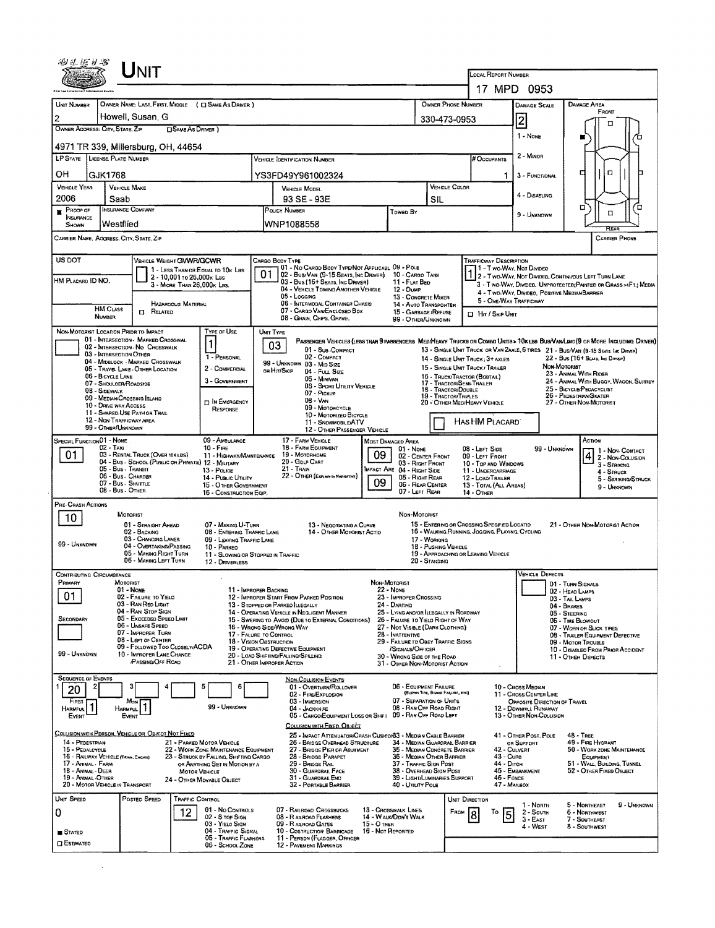| LOCAL REPORT NUMBER<br>17 MPD 0953<br>OWNER NAME: LAST, FIRST, MIDDLE ( C) SAME AS DRIVER )<br>OWNER PHONE NUMBER<br>DAMAGE AREA<br><b>DAMAGE SCALE</b><br>FRONT<br>Howell, Susan, G<br>$\overline{2}$<br>330-473-0953<br>п<br>OWNER ADDRESS: CITY, STATE, ZIP<br><b>CISAME AS DRIVER</b> )<br>1 - None<br>4971 TR 339, Millersburg, OH, 44654<br>2 - MINOR<br>LP STATE LICENSE PLATE NUMBER<br># Occupants<br>VEHICLE DENTIFICATION NUMBER<br>Ω<br>с<br><b>GJK1768</b><br>YS3FD49Y961002324<br>3 - FUNCTIONAL<br>1.<br><b>VEHICLE COLOR</b><br><b>VEHICLE MAKE</b><br>VEHICLE MODEL<br>4 - Disabling<br>2006<br>93 SE - 93E<br>Saab<br>SIL<br>α<br>o<br><b>INSURANCE COMPANY</b><br>$P$ ROOF OF<br>POLICY NUMBER<br>Toweo By<br>α<br>9 - UNXNOWN<br><b>INSURANCE</b><br>WNP1088558<br>Westflied<br>SHOWN<br>CARRIER NAME, AOORESS, CITY, STATE, ZIP<br><b>CARRIER PHONE</b><br>US DOT<br>VEHICLE WEIGHT GWWR/GCWR<br><b>TRAFFICWAY DESCRIPTION</b><br>CARGO BODY TYPE<br>01 - No CARGO BOOY TYPE/NOT APPLICABL 09 - POLE<br>1 - Two-Way, Not Divideo<br>1 - LESS THAN OR EQUAL TO 10K LBS<br>01<br>02 - Bus/VAN (9-15 SEATS, INC DRIVER) 10 - CARGO TANK<br>1 2 - Two-Way, Not Divideo, CONTINUOUS LEFT TURN LANE<br>2 - 10,001 To 26,000x Las<br>HM PLACARD ID NO.<br>03 - Bus (16+ Sears, Inc Daiver)<br>11 - FLAT BED<br>3 - Two-Way, Divideo, Unprotected(Painted or Grass >4FT.) Media<br>3 - MORE THAN 26,000K LBS.<br>04 - VEHICLE TOWING ANOTHER VEHICLE<br>12 - Dump<br>4 - Two-Way, Divideo, Positive Median Barrier<br>$05 -$ Lagging<br>13 - CONCRETE MIXER<br>5 - ONE-WAY TRAFFICWAY<br>06 - INTERMODAL CONTAINER CHASIS<br><b>HAZAROOUS MATERIAL</b><br>14 - AUTO TRANSPORTER<br><b>HM CLASS</b><br>07 - CARGO VAN/ENCLOSED BDX<br>$B$ Related<br>15 - GARBAGE /REFUSE<br><b>D</b> Hat / Skip Unit<br><b>NUMBER</b><br>08 - Grabl Chips, Gravel<br>99 - OTHER/UNKNOWN<br>TYPE OF USE<br>NON-MOTORIST LOCATION PRIDR TO IMPACT<br>UNIT TYPE<br>01 - INTERSECTION - MARKED CROSSWAL<br>Passenger Vehicles (less than 9 passengers MediHeavy Trucks of Combo Units > 10k LBS Bus/VanLimo(9 or More Including Driver)<br>$\mathbf{1}$<br>03<br>02 - INTERSECTION - No CROSSWALK<br>01 - Sub-COMPACT<br>13 - SINGLE UNIT TRUCK OR VAN ZAXLE, 6 TRES 21 - BUS/VAN (9-15 SEATS. INC DIRVER)<br>03 - INTERSECTION OTHER<br>02 - COMPACT<br>1 - PERSONAL<br>22 - Bus (16+ Seats, Inc Driver)<br>14 - SINGLE UNIT TRUCK; 3+ AXLES<br>04 - MIDBLOCK - MARKED CROSSWALK<br>99 - UNKNOWN 03 - MID SIZE<br>Non-Motorist<br>15 - SINGLE UNIT TRUCK / TRAILER<br>2 - COMMERCIAL<br>05 - TRAVEL LANE - OTHER LOCATION<br>on Hir/Skip<br>04 - FULL SIZE<br>23 - ANIMAL WITH RIDER<br>06 - BICYCLE LANE<br>16 - TRUCK/TRACTOR (BOBTAIL)<br>05 - Minivan<br>3 - GOVERNMENT<br>24 - ANIMAL WITH BUGGY, WAGON, SURREY<br>17 - TRACTOR/SEMI-TRAILER<br>07 - SHOULOER/ROADSIDE<br>06 - SPORT UTILITY VEHICLE<br>25 - BICYCLE/PEDACYCLIST<br>18 - Tractor/Double<br>08 - SIDEWALK<br>07 - PICKUP<br>19 - TRACTOR/TRIPLES<br>26 - PEDESTRIAN/SKATER<br>09 - MEDIAN CROSSING ISLAND<br>08 - VAN<br><b>DIN EMERGENCY</b><br>20 - OTHER MEDIHEAVY VEHICLE<br>27 - OTHER NON-MOTORIST<br>10 - DRIVE WAY ACCESS<br>09 - MOTORCYCLE<br>RESPONSE<br>11 - SHARED-USE PATH OR TRAIL<br>10 - MOTORIZED BICYCLE<br>12 - NON-TRAFFICWAY AREA<br>HAS HM PLACARD<br>11 - SNOWMOBILE/ATV<br>99 - OTHER/UNKNOWN<br>12 - OTHER PASSENGER VEHICLE<br>SPECIAL FUNCTION 01 - NOME<br>09 - AMBULANCE<br>17 - FARM VEHICLE<br>Action<br><b>MOST DAMAGED AREA</b><br>18 - FARM EQUIPMENT<br>$02 - TAN$<br>$10 -$ Fine<br>99 - UNKNOWN<br>$01 -$ None<br>08 - Left Side<br>11 - Non-Contact<br>01<br>09<br>03 - RENTAL TRUCK (OVER 10K LBS)<br>19 - MOTORHOME<br>11 - HIGHWAY/MAINTENANCE<br>4 2 - Non-Collision<br>02 - CENTER FRONT<br>09 - LEFT FRONT<br>20 - GOLF CART<br>04 - Bus - SCHOOL (PUBLIC OR PRIVATE) 12 - MILITARY<br>03 - RIGHT FRONT<br>10 - TOP AND WINDOWS<br>3 - Striking<br>05 - Bus - Transit<br>21 - Tran<br>IMPACT ARE 04 - RIGHT SIDE<br>13 - Pouce<br>11 - UNDERCARRIAGE<br>4 - STRUCK<br>06 - Bus - Charter<br>22 - OTHER (EXPLANTIN NARRATIVE)<br>05 - Right Rear<br>14 - Pusuc Utiuty<br>12 - LOAD/TRAILER<br>5 - STRIKING/STRUCK<br>09<br>07 - Bus - SHUTTLE<br>06 - REAR CENTER<br>15 - OTHER GOVERNMENT<br>13 - TOTAL (ALL AREAS)<br>9 - Unknown<br>08 - Bus. OTHER<br>07 - LEFT REAR<br>16 - CONSTRUCTION EQIP.<br>$14 -$ Other<br>PRE-CRASH ACTIONS<br>NON-MOTORIST<br>MOTORIST<br>10<br>15 - ENTERING OR CROSSING SPECIFIED LOCATIO<br>07 - MAKING U-TURN<br>01 - STRAIGHT AHEAD<br>13 - NEGOTIATING A CURVE<br>21 - OTHER NON-MOTORIST ACTION<br>16 - WALKING, RUNNING, JOGGING, PLAYING, CYCLING<br>02 - BACKING<br>08 - ENTERING TRAFFIC LANE<br>14 - OTHER MOTORIST ACTIO<br>03 - CHANGING LANES<br>09 - LEAVING TRAFFIC LANE<br>17 - WORKING<br>04 - OVERTAKING/PASSING<br>18 - Pushing Vehicle<br>10 - PARKED<br>05 - MAKING RIGHT TURN<br>19 - APPROACHING OR LEAVING VEHICLE<br>11 - Slowing or Stopped in Traffic<br>06 - MAKING LEFT TURN<br>20 - STANDING<br>12 - DRIVERLESS<br><b>VEHICLE DEFECTS</b><br><b>CONTRIBUTING CIRCUMSTANCE</b><br>PRIMARY<br>MOTORIST<br>NON-MOTORIST<br>01 - TURN SIGNALS<br><b>22 - NONE</b><br>01 - NONE<br>11 - IMPROPER BACKING<br>02 - HEAD LAMPS<br>01<br>02 - FAILURE TO YIELD<br>12 - IMPROPER START FROM PARKED POSITION<br>23 - IMPROPER CROSSING<br>03 - TAIL LAMPS<br>03 - RAN REO LIGHT<br>13 - STOPPED OR PARKED ILLEGALLY<br>24 - Darting<br>04 - BRAKES<br>04 - RAN STOP SIGN<br>25 - LYING AND/OR ILLEGALLY IN ROADWAY<br>14 - OPERATING VEHICLE IN NEGLIGENT MANNER<br>05 - STEERING<br>05 - Exceepso Speep Limit<br>15 - SWERING TO AVOID (DUE TO EXTERNAL CONDITIONS)<br>26 - FALURE TO YIELD RIGHT OF WAY<br>06 - TIRE BLOWOUT<br>06 - UNSAFE SPEED<br>16 - WRONG SIDE/WRONG WAY<br>27 - NOT VISIBLE (DARK CLOTHING)<br>07 - WORN OR SLICK TIRES<br>07 - IMPROPER TURN<br>17 - FALURE TO CONTROL<br>28 - INATTENTIVE<br>08 - TRAILER EQUIPMENT DEFECTIVE<br><b>08 - LEFT OF CENTER</b><br>18 - Vision Oestruction<br>29 - FAILURE TO OBEY TRAFFIC SIGNS<br>09 - MOTOR TROUBLE<br>09 - FOLLOWED TOO CLOSELY/ACDA<br>19 - OPERATING DEFECTIVE EQUIPMENT<br>/SIGNALS/OFFICER<br>10 - DISABLED FROM PRIOR ACCIDENT<br>10 - IMPROPER LANE CHANGE<br>20 - LOAD SHIFTING/FALLING/SPILLING<br>30 - WRONG SIDE OF THE ROAD<br>11 - OTHER DEFECTS<br><b>PASSING/OFF ROAD</b><br>21 - OTHER IMPROPER ACTION<br>31 - OTHER NON-MOTORIST ACTION<br><b>SEQUENCE OF EVENTS</b><br><b>NON-COLLISION EVENTS</b><br>5<br>06 - EQUIPMENT FAILURE<br>6<br>01 - OVERTURN/ROLLOVER<br>10 - Cross Median<br>20<br>(BLOWN TIRE, BRAKE FAILURE, ETC)<br>02 - FIRE/EXPLOSION<br>11 - CROSS CENTER LINE<br>07 - SEPARATION OF UNITS<br>First<br>03 - IMMERSION<br>OPPOSITE DIRECTION OF TRAVEL<br>Most<br>99 - UNKNOWN<br>08 - RAN OFF ROAD RIGHT<br>04 - JACKKNJE<br>12 - DOWNHILL RUNAWAY<br>HARMFUL 1<br>Harmful<br>05 - CARGO/EQUIPMENT LOSS OR SHIFT 09 - RAN OFF ROAD LEFT<br>13 - OTHER NON-COLLISION<br>Event<br>EVENT<br>COLLISION WITH FIXED, OBJECT<br>COLLISION WITH PERSON, VEHICLE OR OBJECT NOT FIXED<br>25 - IMPACT ATTENUATOR/CRASH CUSHIONS3 - MEDIAN CABLE BARRIER<br>41 - OTHER POST, POLE<br>$48 - TREF$<br>14 - PEDESTRIAN<br>49 - FIRE HYDRANT<br>21 - PARKED MOTOR VEHICLE<br>26 - BRIDGE OVERHEAD STRUCTURE<br>34 - Median Guardrad, Barrier<br>OR SUPPORT<br>15 - PEDALCYCLE<br>27 - BRIDGE PIER OR ABUTMENT<br>42 - CULVERT<br>50 - WORK ZONE MAINTENANCE<br>22 - WORK ZONE MAINTENANCE EQUIPMENT<br>35 - MEDIAN CONCRETE BARRIER<br>16 - RAILWAY VEHICLE (TRANK, ENGINE)<br>36 - MEDIAN OTHER BARRIER<br>43 - Cuns<br>23 - STRUCK BY FALLING, SHIFTING CARGO<br>28 - BRIDGE PARAPET<br>EQUIPMENT<br>44 - Dirch<br>51 - WALL, BUILDING, TUNNEL<br>17 - ANIMAL - FARM<br>29 - BRIDGE RAIL<br>37 - TRAFFIC SIGN POST<br>OR ANYTHING SET IN MOTION BY A<br>18 - Animal - Deer<br>30 - GUARDRAIL FACE<br>38 - Overhead Sign Post<br>45 - EMBANKMENT<br>52 - OTHER FIXED OBJECT<br>MOTOR VEHICLE<br>19 - ANIMAL-OTHER<br>31 - GUARDRAILEND<br>39 - LIGHT/LUMINARIES SUPPORT<br>46 - FENCE<br>24 - Отнен Моулвье Овлест<br>20 - MOTOR VEHICLE IN TRANSPORT<br>40 - UTILITY POLE<br>47 - MARBOX<br>32 - PORTABLE BARRIER<br>POSTED SPEED<br><b>TRAFFIC CONTROL</b><br>UNIT DIRECTION<br>5 - NORTHEAST<br>9 - Unknown<br>1 - Norm<br>01 - No CONTROLS<br>07 - RALROAD CROSSBUCKS<br>13 - CROSSWALK LINES<br>12<br>FROM<br>6 - NORTHWEST<br>То<br>$2 -$ South<br>5<br>14 - WALK/DON'T WALK<br>02 - S TOP SIGN<br>08 - RALROAD FLASHERS<br>$3 - EAST$<br>7 - SOUTHEAST<br>03 - YIELO SIGN<br>$15 - 0$ THER<br>09 - R alroad Gates<br>4 - West<br>8 - Southwest<br>04 - TRAFFIC SIGNAL<br>10 - COSTRUCTION BARRICADE<br>16 - Not Reported<br>STATED<br>05 - Traffic Flashers<br>11 - PERSON (FLAGGER, OFFICER<br>06 - SCHOOL ZONE<br>12 - PAVEMENT MARKINGS |                     |  |  |  |  |
|---------------------------------------------------------------------------------------------------------------------------------------------------------------------------------------------------------------------------------------------------------------------------------------------------------------------------------------------------------------------------------------------------------------------------------------------------------------------------------------------------------------------------------------------------------------------------------------------------------------------------------------------------------------------------------------------------------------------------------------------------------------------------------------------------------------------------------------------------------------------------------------------------------------------------------------------------------------------------------------------------------------------------------------------------------------------------------------------------------------------------------------------------------------------------------------------------------------------------------------------------------------------------------------------------------------------------------------------------------------------------------------------------------------------------------------------------------------------------------------------------------------------------------------------------------------------------------------------------------------------------------------------------------------------------------------------------------------------------------------------------------------------------------------------------------------------------------------------------------------------------------------------------------------------------------------------------------------------------------------------------------------------------------------------------------------------------------------------------------------------------------------------------------------------------------------------------------------------------------------------------------------------------------------------------------------------------------------------------------------------------------------------------------------------------------------------------------------------------------------------------------------------------------------------------------------------------------------------------------------------------------------------------------------------------------------------------------------------------------------------------------------------------------------------------------------------------------------------------------------------------------------------------------------------------------------------------------------------------------------------------------------------------------------------------------------------------------------------------------------------------------------------------------------------------------------------------------------------------------------------------------------------------------------------------------------------------------------------------------------------------------------------------------------------------------------------------------------------------------------------------------------------------------------------------------------------------------------------------------------------------------------------------------------------------------------------------------------------------------------------------------------------------------------------------------------------------------------------------------------------------------------------------------------------------------------------------------------------------------------------------------------------------------------------------------------------------------------------------------------------------------------------------------------------------------------------------------------------------------------------------------------------------------------------------------------------------------------------------------------------------------------------------------------------------------------------------------------------------------------------------------------------------------------------------------------------------------------------------------------------------------------------------------------------------------------------------------------------------------------------------------------------------------------------------------------------------------------------------------------------------------------------------------------------------------------------------------------------------------------------------------------------------------------------------------------------------------------------------------------------------------------------------------------------------------------------------------------------------------------------------------------------------------------------------------------------------------------------------------------------------------------------------------------------------------------------------------------------------------------------------------------------------------------------------------------------------------------------------------------------------------------------------------------------------------------------------------------------------------------------------------------------------------------------------------------------------------------------------------------------------------------------------------------------------------------------------------------------------------------------------------------------------------------------------------------------------------------------------------------------------------------------------------------------------------------------------------------------------------------------------------------------------------------------------------------------------------------------------------------------------------------------------------------------------------------------------------------------------------------------------------------------------------------------------------------------------------------------------------------------------------------------------------------------------------------------------------------------------------------------------------------------------------------------------------------------------------------------------------------------------------------------------------------------------------------------------------------------------------------------------------------------------------------------------------------------------------------------------------------------------------------------------------------------------------------------------------------------------------------------------------------------------------------------------------------------------------------------------------------------------------------------------------------------------------------------------------------------------------------------------------------------------------------------------------------------------------------------------------------------------------------------------------------------------------------------------------------------------------------------------------------------------------------------------------------------------------------------------------------------------------------------------------------------------------------------------------------------------------------------------------------------------------------------------------------------------------------------------------------------------------------------------------------------------------------------------------------------------------------------------------------------------------------------------------------------------------------------------------------------------------------------------------------------------------------------------------------------------------------------------------------------------------------------------------------------------------------------------------------------------------------------------------------------------------------------------------------------------------------------------------------------------------------------------------------------------------------------------------------------------------------------------------------|---------------------|--|--|--|--|
|                                                                                                                                                                                                                                                                                                                                                                                                                                                                                                                                                                                                                                                                                                                                                                                                                                                                                                                                                                                                                                                                                                                                                                                                                                                                                                                                                                                                                                                                                                                                                                                                                                                                                                                                                                                                                                                                                                                                                                                                                                                                                                                                                                                                                                                                                                                                                                                                                                                                                                                                                                                                                                                                                                                                                                                                                                                                                                                                                                                                                                                                                                                                                                                                                                                                                                                                                                                                                                                                                                                                                                                                                                                                                                                                                                                                                                                                                                                                                                                                                                                                                                                                                                                                                                                                                                                                                                                                                                                                                                                                                                                                                                                                                                                                                                                                                                                                                                                                                                                                                                                                                                                                                                                                                                                                                                                                                                                                                                                                                                                                                                                                                                                                                                                                                                                                                                                                                                                                                                                                                                                                                                                                                                                                                                                                                                                                                                                                                                                                                                                                                                                                                                                                                                                                                                                                                                                                                                                                                                                                                                                                                                                                                                                                                                                                                                                                                                                                                                                                                                                                                                                                                                                                                                                                                                                                                                                                                                                                                                                                                                                                                                                                                                                                                                                                                                                                                                                                                                                                                                                                                                                                                                                                                                                                                                                                                                                                                                               |                     |  |  |  |  |
|                                                                                                                                                                                                                                                                                                                                                                                                                                                                                                                                                                                                                                                                                                                                                                                                                                                                                                                                                                                                                                                                                                                                                                                                                                                                                                                                                                                                                                                                                                                                                                                                                                                                                                                                                                                                                                                                                                                                                                                                                                                                                                                                                                                                                                                                                                                                                                                                                                                                                                                                                                                                                                                                                                                                                                                                                                                                                                                                                                                                                                                                                                                                                                                                                                                                                                                                                                                                                                                                                                                                                                                                                                                                                                                                                                                                                                                                                                                                                                                                                                                                                                                                                                                                                                                                                                                                                                                                                                                                                                                                                                                                                                                                                                                                                                                                                                                                                                                                                                                                                                                                                                                                                                                                                                                                                                                                                                                                                                                                                                                                                                                                                                                                                                                                                                                                                                                                                                                                                                                                                                                                                                                                                                                                                                                                                                                                                                                                                                                                                                                                                                                                                                                                                                                                                                                                                                                                                                                                                                                                                                                                                                                                                                                                                                                                                                                                                                                                                                                                                                                                                                                                                                                                                                                                                                                                                                                                                                                                                                                                                                                                                                                                                                                                                                                                                                                                                                                                                                                                                                                                                                                                                                                                                                                                                                                                                                                                                                               | <b>UNIT NUMBER</b>  |  |  |  |  |
|                                                                                                                                                                                                                                                                                                                                                                                                                                                                                                                                                                                                                                                                                                                                                                                                                                                                                                                                                                                                                                                                                                                                                                                                                                                                                                                                                                                                                                                                                                                                                                                                                                                                                                                                                                                                                                                                                                                                                                                                                                                                                                                                                                                                                                                                                                                                                                                                                                                                                                                                                                                                                                                                                                                                                                                                                                                                                                                                                                                                                                                                                                                                                                                                                                                                                                                                                                                                                                                                                                                                                                                                                                                                                                                                                                                                                                                                                                                                                                                                                                                                                                                                                                                                                                                                                                                                                                                                                                                                                                                                                                                                                                                                                                                                                                                                                                                                                                                                                                                                                                                                                                                                                                                                                                                                                                                                                                                                                                                                                                                                                                                                                                                                                                                                                                                                                                                                                                                                                                                                                                                                                                                                                                                                                                                                                                                                                                                                                                                                                                                                                                                                                                                                                                                                                                                                                                                                                                                                                                                                                                                                                                                                                                                                                                                                                                                                                                                                                                                                                                                                                                                                                                                                                                                                                                                                                                                                                                                                                                                                                                                                                                                                                                                                                                                                                                                                                                                                                                                                                                                                                                                                                                                                                                                                                                                                                                                                                                               | 2                   |  |  |  |  |
|                                                                                                                                                                                                                                                                                                                                                                                                                                                                                                                                                                                                                                                                                                                                                                                                                                                                                                                                                                                                                                                                                                                                                                                                                                                                                                                                                                                                                                                                                                                                                                                                                                                                                                                                                                                                                                                                                                                                                                                                                                                                                                                                                                                                                                                                                                                                                                                                                                                                                                                                                                                                                                                                                                                                                                                                                                                                                                                                                                                                                                                                                                                                                                                                                                                                                                                                                                                                                                                                                                                                                                                                                                                                                                                                                                                                                                                                                                                                                                                                                                                                                                                                                                                                                                                                                                                                                                                                                                                                                                                                                                                                                                                                                                                                                                                                                                                                                                                                                                                                                                                                                                                                                                                                                                                                                                                                                                                                                                                                                                                                                                                                                                                                                                                                                                                                                                                                                                                                                                                                                                                                                                                                                                                                                                                                                                                                                                                                                                                                                                                                                                                                                                                                                                                                                                                                                                                                                                                                                                                                                                                                                                                                                                                                                                                                                                                                                                                                                                                                                                                                                                                                                                                                                                                                                                                                                                                                                                                                                                                                                                                                                                                                                                                                                                                                                                                                                                                                                                                                                                                                                                                                                                                                                                                                                                                                                                                                                                               |                     |  |  |  |  |
|                                                                                                                                                                                                                                                                                                                                                                                                                                                                                                                                                                                                                                                                                                                                                                                                                                                                                                                                                                                                                                                                                                                                                                                                                                                                                                                                                                                                                                                                                                                                                                                                                                                                                                                                                                                                                                                                                                                                                                                                                                                                                                                                                                                                                                                                                                                                                                                                                                                                                                                                                                                                                                                                                                                                                                                                                                                                                                                                                                                                                                                                                                                                                                                                                                                                                                                                                                                                                                                                                                                                                                                                                                                                                                                                                                                                                                                                                                                                                                                                                                                                                                                                                                                                                                                                                                                                                                                                                                                                                                                                                                                                                                                                                                                                                                                                                                                                                                                                                                                                                                                                                                                                                                                                                                                                                                                                                                                                                                                                                                                                                                                                                                                                                                                                                                                                                                                                                                                                                                                                                                                                                                                                                                                                                                                                                                                                                                                                                                                                                                                                                                                                                                                                                                                                                                                                                                                                                                                                                                                                                                                                                                                                                                                                                                                                                                                                                                                                                                                                                                                                                                                                                                                                                                                                                                                                                                                                                                                                                                                                                                                                                                                                                                                                                                                                                                                                                                                                                                                                                                                                                                                                                                                                                                                                                                                                                                                                                                               |                     |  |  |  |  |
|                                                                                                                                                                                                                                                                                                                                                                                                                                                                                                                                                                                                                                                                                                                                                                                                                                                                                                                                                                                                                                                                                                                                                                                                                                                                                                                                                                                                                                                                                                                                                                                                                                                                                                                                                                                                                                                                                                                                                                                                                                                                                                                                                                                                                                                                                                                                                                                                                                                                                                                                                                                                                                                                                                                                                                                                                                                                                                                                                                                                                                                                                                                                                                                                                                                                                                                                                                                                                                                                                                                                                                                                                                                                                                                                                                                                                                                                                                                                                                                                                                                                                                                                                                                                                                                                                                                                                                                                                                                                                                                                                                                                                                                                                                                                                                                                                                                                                                                                                                                                                                                                                                                                                                                                                                                                                                                                                                                                                                                                                                                                                                                                                                                                                                                                                                                                                                                                                                                                                                                                                                                                                                                                                                                                                                                                                                                                                                                                                                                                                                                                                                                                                                                                                                                                                                                                                                                                                                                                                                                                                                                                                                                                                                                                                                                                                                                                                                                                                                                                                                                                                                                                                                                                                                                                                                                                                                                                                                                                                                                                                                                                                                                                                                                                                                                                                                                                                                                                                                                                                                                                                                                                                                                                                                                                                                                                                                                                                                               |                     |  |  |  |  |
|                                                                                                                                                                                                                                                                                                                                                                                                                                                                                                                                                                                                                                                                                                                                                                                                                                                                                                                                                                                                                                                                                                                                                                                                                                                                                                                                                                                                                                                                                                                                                                                                                                                                                                                                                                                                                                                                                                                                                                                                                                                                                                                                                                                                                                                                                                                                                                                                                                                                                                                                                                                                                                                                                                                                                                                                                                                                                                                                                                                                                                                                                                                                                                                                                                                                                                                                                                                                                                                                                                                                                                                                                                                                                                                                                                                                                                                                                                                                                                                                                                                                                                                                                                                                                                                                                                                                                                                                                                                                                                                                                                                                                                                                                                                                                                                                                                                                                                                                                                                                                                                                                                                                                                                                                                                                                                                                                                                                                                                                                                                                                                                                                                                                                                                                                                                                                                                                                                                                                                                                                                                                                                                                                                                                                                                                                                                                                                                                                                                                                                                                                                                                                                                                                                                                                                                                                                                                                                                                                                                                                                                                                                                                                                                                                                                                                                                                                                                                                                                                                                                                                                                                                                                                                                                                                                                                                                                                                                                                                                                                                                                                                                                                                                                                                                                                                                                                                                                                                                                                                                                                                                                                                                                                                                                                                                                                                                                                                                               | OН                  |  |  |  |  |
|                                                                                                                                                                                                                                                                                                                                                                                                                                                                                                                                                                                                                                                                                                                                                                                                                                                                                                                                                                                                                                                                                                                                                                                                                                                                                                                                                                                                                                                                                                                                                                                                                                                                                                                                                                                                                                                                                                                                                                                                                                                                                                                                                                                                                                                                                                                                                                                                                                                                                                                                                                                                                                                                                                                                                                                                                                                                                                                                                                                                                                                                                                                                                                                                                                                                                                                                                                                                                                                                                                                                                                                                                                                                                                                                                                                                                                                                                                                                                                                                                                                                                                                                                                                                                                                                                                                                                                                                                                                                                                                                                                                                                                                                                                                                                                                                                                                                                                                                                                                                                                                                                                                                                                                                                                                                                                                                                                                                                                                                                                                                                                                                                                                                                                                                                                                                                                                                                                                                                                                                                                                                                                                                                                                                                                                                                                                                                                                                                                                                                                                                                                                                                                                                                                                                                                                                                                                                                                                                                                                                                                                                                                                                                                                                                                                                                                                                                                                                                                                                                                                                                                                                                                                                                                                                                                                                                                                                                                                                                                                                                                                                                                                                                                                                                                                                                                                                                                                                                                                                                                                                                                                                                                                                                                                                                                                                                                                                                                               | <b>VEHICLE YEAR</b> |  |  |  |  |
|                                                                                                                                                                                                                                                                                                                                                                                                                                                                                                                                                                                                                                                                                                                                                                                                                                                                                                                                                                                                                                                                                                                                                                                                                                                                                                                                                                                                                                                                                                                                                                                                                                                                                                                                                                                                                                                                                                                                                                                                                                                                                                                                                                                                                                                                                                                                                                                                                                                                                                                                                                                                                                                                                                                                                                                                                                                                                                                                                                                                                                                                                                                                                                                                                                                                                                                                                                                                                                                                                                                                                                                                                                                                                                                                                                                                                                                                                                                                                                                                                                                                                                                                                                                                                                                                                                                                                                                                                                                                                                                                                                                                                                                                                                                                                                                                                                                                                                                                                                                                                                                                                                                                                                                                                                                                                                                                                                                                                                                                                                                                                                                                                                                                                                                                                                                                                                                                                                                                                                                                                                                                                                                                                                                                                                                                                                                                                                                                                                                                                                                                                                                                                                                                                                                                                                                                                                                                                                                                                                                                                                                                                                                                                                                                                                                                                                                                                                                                                                                                                                                                                                                                                                                                                                                                                                                                                                                                                                                                                                                                                                                                                                                                                                                                                                                                                                                                                                                                                                                                                                                                                                                                                                                                                                                                                                                                                                                                                                               |                     |  |  |  |  |
|                                                                                                                                                                                                                                                                                                                                                                                                                                                                                                                                                                                                                                                                                                                                                                                                                                                                                                                                                                                                                                                                                                                                                                                                                                                                                                                                                                                                                                                                                                                                                                                                                                                                                                                                                                                                                                                                                                                                                                                                                                                                                                                                                                                                                                                                                                                                                                                                                                                                                                                                                                                                                                                                                                                                                                                                                                                                                                                                                                                                                                                                                                                                                                                                                                                                                                                                                                                                                                                                                                                                                                                                                                                                                                                                                                                                                                                                                                                                                                                                                                                                                                                                                                                                                                                                                                                                                                                                                                                                                                                                                                                                                                                                                                                                                                                                                                                                                                                                                                                                                                                                                                                                                                                                                                                                                                                                                                                                                                                                                                                                                                                                                                                                                                                                                                                                                                                                                                                                                                                                                                                                                                                                                                                                                                                                                                                                                                                                                                                                                                                                                                                                                                                                                                                                                                                                                                                                                                                                                                                                                                                                                                                                                                                                                                                                                                                                                                                                                                                                                                                                                                                                                                                                                                                                                                                                                                                                                                                                                                                                                                                                                                                                                                                                                                                                                                                                                                                                                                                                                                                                                                                                                                                                                                                                                                                                                                                                                                               |                     |  |  |  |  |
|                                                                                                                                                                                                                                                                                                                                                                                                                                                                                                                                                                                                                                                                                                                                                                                                                                                                                                                                                                                                                                                                                                                                                                                                                                                                                                                                                                                                                                                                                                                                                                                                                                                                                                                                                                                                                                                                                                                                                                                                                                                                                                                                                                                                                                                                                                                                                                                                                                                                                                                                                                                                                                                                                                                                                                                                                                                                                                                                                                                                                                                                                                                                                                                                                                                                                                                                                                                                                                                                                                                                                                                                                                                                                                                                                                                                                                                                                                                                                                                                                                                                                                                                                                                                                                                                                                                                                                                                                                                                                                                                                                                                                                                                                                                                                                                                                                                                                                                                                                                                                                                                                                                                                                                                                                                                                                                                                                                                                                                                                                                                                                                                                                                                                                                                                                                                                                                                                                                                                                                                                                                                                                                                                                                                                                                                                                                                                                                                                                                                                                                                                                                                                                                                                                                                                                                                                                                                                                                                                                                                                                                                                                                                                                                                                                                                                                                                                                                                                                                                                                                                                                                                                                                                                                                                                                                                                                                                                                                                                                                                                                                                                                                                                                                                                                                                                                                                                                                                                                                                                                                                                                                                                                                                                                                                                                                                                                                                                                               |                     |  |  |  |  |
|                                                                                                                                                                                                                                                                                                                                                                                                                                                                                                                                                                                                                                                                                                                                                                                                                                                                                                                                                                                                                                                                                                                                                                                                                                                                                                                                                                                                                                                                                                                                                                                                                                                                                                                                                                                                                                                                                                                                                                                                                                                                                                                                                                                                                                                                                                                                                                                                                                                                                                                                                                                                                                                                                                                                                                                                                                                                                                                                                                                                                                                                                                                                                                                                                                                                                                                                                                                                                                                                                                                                                                                                                                                                                                                                                                                                                                                                                                                                                                                                                                                                                                                                                                                                                                                                                                                                                                                                                                                                                                                                                                                                                                                                                                                                                                                                                                                                                                                                                                                                                                                                                                                                                                                                                                                                                                                                                                                                                                                                                                                                                                                                                                                                                                                                                                                                                                                                                                                                                                                                                                                                                                                                                                                                                                                                                                                                                                                                                                                                                                                                                                                                                                                                                                                                                                                                                                                                                                                                                                                                                                                                                                                                                                                                                                                                                                                                                                                                                                                                                                                                                                                                                                                                                                                                                                                                                                                                                                                                                                                                                                                                                                                                                                                                                                                                                                                                                                                                                                                                                                                                                                                                                                                                                                                                                                                                                                                                                                               |                     |  |  |  |  |
|                                                                                                                                                                                                                                                                                                                                                                                                                                                                                                                                                                                                                                                                                                                                                                                                                                                                                                                                                                                                                                                                                                                                                                                                                                                                                                                                                                                                                                                                                                                                                                                                                                                                                                                                                                                                                                                                                                                                                                                                                                                                                                                                                                                                                                                                                                                                                                                                                                                                                                                                                                                                                                                                                                                                                                                                                                                                                                                                                                                                                                                                                                                                                                                                                                                                                                                                                                                                                                                                                                                                                                                                                                                                                                                                                                                                                                                                                                                                                                                                                                                                                                                                                                                                                                                                                                                                                                                                                                                                                                                                                                                                                                                                                                                                                                                                                                                                                                                                                                                                                                                                                                                                                                                                                                                                                                                                                                                                                                                                                                                                                                                                                                                                                                                                                                                                                                                                                                                                                                                                                                                                                                                                                                                                                                                                                                                                                                                                                                                                                                                                                                                                                                                                                                                                                                                                                                                                                                                                                                                                                                                                                                                                                                                                                                                                                                                                                                                                                                                                                                                                                                                                                                                                                                                                                                                                                                                                                                                                                                                                                                                                                                                                                                                                                                                                                                                                                                                                                                                                                                                                                                                                                                                                                                                                                                                                                                                                                                               |                     |  |  |  |  |
|                                                                                                                                                                                                                                                                                                                                                                                                                                                                                                                                                                                                                                                                                                                                                                                                                                                                                                                                                                                                                                                                                                                                                                                                                                                                                                                                                                                                                                                                                                                                                                                                                                                                                                                                                                                                                                                                                                                                                                                                                                                                                                                                                                                                                                                                                                                                                                                                                                                                                                                                                                                                                                                                                                                                                                                                                                                                                                                                                                                                                                                                                                                                                                                                                                                                                                                                                                                                                                                                                                                                                                                                                                                                                                                                                                                                                                                                                                                                                                                                                                                                                                                                                                                                                                                                                                                                                                                                                                                                                                                                                                                                                                                                                                                                                                                                                                                                                                                                                                                                                                                                                                                                                                                                                                                                                                                                                                                                                                                                                                                                                                                                                                                                                                                                                                                                                                                                                                                                                                                                                                                                                                                                                                                                                                                                                                                                                                                                                                                                                                                                                                                                                                                                                                                                                                                                                                                                                                                                                                                                                                                                                                                                                                                                                                                                                                                                                                                                                                                                                                                                                                                                                                                                                                                                                                                                                                                                                                                                                                                                                                                                                                                                                                                                                                                                                                                                                                                                                                                                                                                                                                                                                                                                                                                                                                                                                                                                                                               |                     |  |  |  |  |
|                                                                                                                                                                                                                                                                                                                                                                                                                                                                                                                                                                                                                                                                                                                                                                                                                                                                                                                                                                                                                                                                                                                                                                                                                                                                                                                                                                                                                                                                                                                                                                                                                                                                                                                                                                                                                                                                                                                                                                                                                                                                                                                                                                                                                                                                                                                                                                                                                                                                                                                                                                                                                                                                                                                                                                                                                                                                                                                                                                                                                                                                                                                                                                                                                                                                                                                                                                                                                                                                                                                                                                                                                                                                                                                                                                                                                                                                                                                                                                                                                                                                                                                                                                                                                                                                                                                                                                                                                                                                                                                                                                                                                                                                                                                                                                                                                                                                                                                                                                                                                                                                                                                                                                                                                                                                                                                                                                                                                                                                                                                                                                                                                                                                                                                                                                                                                                                                                                                                                                                                                                                                                                                                                                                                                                                                                                                                                                                                                                                                                                                                                                                                                                                                                                                                                                                                                                                                                                                                                                                                                                                                                                                                                                                                                                                                                                                                                                                                                                                                                                                                                                                                                                                                                                                                                                                                                                                                                                                                                                                                                                                                                                                                                                                                                                                                                                                                                                                                                                                                                                                                                                                                                                                                                                                                                                                                                                                                                                               |                     |  |  |  |  |
|                                                                                                                                                                                                                                                                                                                                                                                                                                                                                                                                                                                                                                                                                                                                                                                                                                                                                                                                                                                                                                                                                                                                                                                                                                                                                                                                                                                                                                                                                                                                                                                                                                                                                                                                                                                                                                                                                                                                                                                                                                                                                                                                                                                                                                                                                                                                                                                                                                                                                                                                                                                                                                                                                                                                                                                                                                                                                                                                                                                                                                                                                                                                                                                                                                                                                                                                                                                                                                                                                                                                                                                                                                                                                                                                                                                                                                                                                                                                                                                                                                                                                                                                                                                                                                                                                                                                                                                                                                                                                                                                                                                                                                                                                                                                                                                                                                                                                                                                                                                                                                                                                                                                                                                                                                                                                                                                                                                                                                                                                                                                                                                                                                                                                                                                                                                                                                                                                                                                                                                                                                                                                                                                                                                                                                                                                                                                                                                                                                                                                                                                                                                                                                                                                                                                                                                                                                                                                                                                                                                                                                                                                                                                                                                                                                                                                                                                                                                                                                                                                                                                                                                                                                                                                                                                                                                                                                                                                                                                                                                                                                                                                                                                                                                                                                                                                                                                                                                                                                                                                                                                                                                                                                                                                                                                                                                                                                                                                                               |                     |  |  |  |  |
|                                                                                                                                                                                                                                                                                                                                                                                                                                                                                                                                                                                                                                                                                                                                                                                                                                                                                                                                                                                                                                                                                                                                                                                                                                                                                                                                                                                                                                                                                                                                                                                                                                                                                                                                                                                                                                                                                                                                                                                                                                                                                                                                                                                                                                                                                                                                                                                                                                                                                                                                                                                                                                                                                                                                                                                                                                                                                                                                                                                                                                                                                                                                                                                                                                                                                                                                                                                                                                                                                                                                                                                                                                                                                                                                                                                                                                                                                                                                                                                                                                                                                                                                                                                                                                                                                                                                                                                                                                                                                                                                                                                                                                                                                                                                                                                                                                                                                                                                                                                                                                                                                                                                                                                                                                                                                                                                                                                                                                                                                                                                                                                                                                                                                                                                                                                                                                                                                                                                                                                                                                                                                                                                                                                                                                                                                                                                                                                                                                                                                                                                                                                                                                                                                                                                                                                                                                                                                                                                                                                                                                                                                                                                                                                                                                                                                                                                                                                                                                                                                                                                                                                                                                                                                                                                                                                                                                                                                                                                                                                                                                                                                                                                                                                                                                                                                                                                                                                                                                                                                                                                                                                                                                                                                                                                                                                                                                                                                                               |                     |  |  |  |  |
|                                                                                                                                                                                                                                                                                                                                                                                                                                                                                                                                                                                                                                                                                                                                                                                                                                                                                                                                                                                                                                                                                                                                                                                                                                                                                                                                                                                                                                                                                                                                                                                                                                                                                                                                                                                                                                                                                                                                                                                                                                                                                                                                                                                                                                                                                                                                                                                                                                                                                                                                                                                                                                                                                                                                                                                                                                                                                                                                                                                                                                                                                                                                                                                                                                                                                                                                                                                                                                                                                                                                                                                                                                                                                                                                                                                                                                                                                                                                                                                                                                                                                                                                                                                                                                                                                                                                                                                                                                                                                                                                                                                                                                                                                                                                                                                                                                                                                                                                                                                                                                                                                                                                                                                                                                                                                                                                                                                                                                                                                                                                                                                                                                                                                                                                                                                                                                                                                                                                                                                                                                                                                                                                                                                                                                                                                                                                                                                                                                                                                                                                                                                                                                                                                                                                                                                                                                                                                                                                                                                                                                                                                                                                                                                                                                                                                                                                                                                                                                                                                                                                                                                                                                                                                                                                                                                                                                                                                                                                                                                                                                                                                                                                                                                                                                                                                                                                                                                                                                                                                                                                                                                                                                                                                                                                                                                                                                                                                                               |                     |  |  |  |  |
|                                                                                                                                                                                                                                                                                                                                                                                                                                                                                                                                                                                                                                                                                                                                                                                                                                                                                                                                                                                                                                                                                                                                                                                                                                                                                                                                                                                                                                                                                                                                                                                                                                                                                                                                                                                                                                                                                                                                                                                                                                                                                                                                                                                                                                                                                                                                                                                                                                                                                                                                                                                                                                                                                                                                                                                                                                                                                                                                                                                                                                                                                                                                                                                                                                                                                                                                                                                                                                                                                                                                                                                                                                                                                                                                                                                                                                                                                                                                                                                                                                                                                                                                                                                                                                                                                                                                                                                                                                                                                                                                                                                                                                                                                                                                                                                                                                                                                                                                                                                                                                                                                                                                                                                                                                                                                                                                                                                                                                                                                                                                                                                                                                                                                                                                                                                                                                                                                                                                                                                                                                                                                                                                                                                                                                                                                                                                                                                                                                                                                                                                                                                                                                                                                                                                                                                                                                                                                                                                                                                                                                                                                                                                                                                                                                                                                                                                                                                                                                                                                                                                                                                                                                                                                                                                                                                                                                                                                                                                                                                                                                                                                                                                                                                                                                                                                                                                                                                                                                                                                                                                                                                                                                                                                                                                                                                                                                                                                                               |                     |  |  |  |  |
|                                                                                                                                                                                                                                                                                                                                                                                                                                                                                                                                                                                                                                                                                                                                                                                                                                                                                                                                                                                                                                                                                                                                                                                                                                                                                                                                                                                                                                                                                                                                                                                                                                                                                                                                                                                                                                                                                                                                                                                                                                                                                                                                                                                                                                                                                                                                                                                                                                                                                                                                                                                                                                                                                                                                                                                                                                                                                                                                                                                                                                                                                                                                                                                                                                                                                                                                                                                                                                                                                                                                                                                                                                                                                                                                                                                                                                                                                                                                                                                                                                                                                                                                                                                                                                                                                                                                                                                                                                                                                                                                                                                                                                                                                                                                                                                                                                                                                                                                                                                                                                                                                                                                                                                                                                                                                                                                                                                                                                                                                                                                                                                                                                                                                                                                                                                                                                                                                                                                                                                                                                                                                                                                                                                                                                                                                                                                                                                                                                                                                                                                                                                                                                                                                                                                                                                                                                                                                                                                                                                                                                                                                                                                                                                                                                                                                                                                                                                                                                                                                                                                                                                                                                                                                                                                                                                                                                                                                                                                                                                                                                                                                                                                                                                                                                                                                                                                                                                                                                                                                                                                                                                                                                                                                                                                                                                                                                                                                                               |                     |  |  |  |  |
|                                                                                                                                                                                                                                                                                                                                                                                                                                                                                                                                                                                                                                                                                                                                                                                                                                                                                                                                                                                                                                                                                                                                                                                                                                                                                                                                                                                                                                                                                                                                                                                                                                                                                                                                                                                                                                                                                                                                                                                                                                                                                                                                                                                                                                                                                                                                                                                                                                                                                                                                                                                                                                                                                                                                                                                                                                                                                                                                                                                                                                                                                                                                                                                                                                                                                                                                                                                                                                                                                                                                                                                                                                                                                                                                                                                                                                                                                                                                                                                                                                                                                                                                                                                                                                                                                                                                                                                                                                                                                                                                                                                                                                                                                                                                                                                                                                                                                                                                                                                                                                                                                                                                                                                                                                                                                                                                                                                                                                                                                                                                                                                                                                                                                                                                                                                                                                                                                                                                                                                                                                                                                                                                                                                                                                                                                                                                                                                                                                                                                                                                                                                                                                                                                                                                                                                                                                                                                                                                                                                                                                                                                                                                                                                                                                                                                                                                                                                                                                                                                                                                                                                                                                                                                                                                                                                                                                                                                                                                                                                                                                                                                                                                                                                                                                                                                                                                                                                                                                                                                                                                                                                                                                                                                                                                                                                                                                                                                                               |                     |  |  |  |  |
|                                                                                                                                                                                                                                                                                                                                                                                                                                                                                                                                                                                                                                                                                                                                                                                                                                                                                                                                                                                                                                                                                                                                                                                                                                                                                                                                                                                                                                                                                                                                                                                                                                                                                                                                                                                                                                                                                                                                                                                                                                                                                                                                                                                                                                                                                                                                                                                                                                                                                                                                                                                                                                                                                                                                                                                                                                                                                                                                                                                                                                                                                                                                                                                                                                                                                                                                                                                                                                                                                                                                                                                                                                                                                                                                                                                                                                                                                                                                                                                                                                                                                                                                                                                                                                                                                                                                                                                                                                                                                                                                                                                                                                                                                                                                                                                                                                                                                                                                                                                                                                                                                                                                                                                                                                                                                                                                                                                                                                                                                                                                                                                                                                                                                                                                                                                                                                                                                                                                                                                                                                                                                                                                                                                                                                                                                                                                                                                                                                                                                                                                                                                                                                                                                                                                                                                                                                                                                                                                                                                                                                                                                                                                                                                                                                                                                                                                                                                                                                                                                                                                                                                                                                                                                                                                                                                                                                                                                                                                                                                                                                                                                                                                                                                                                                                                                                                                                                                                                                                                                                                                                                                                                                                                                                                                                                                                                                                                                                               |                     |  |  |  |  |
|                                                                                                                                                                                                                                                                                                                                                                                                                                                                                                                                                                                                                                                                                                                                                                                                                                                                                                                                                                                                                                                                                                                                                                                                                                                                                                                                                                                                                                                                                                                                                                                                                                                                                                                                                                                                                                                                                                                                                                                                                                                                                                                                                                                                                                                                                                                                                                                                                                                                                                                                                                                                                                                                                                                                                                                                                                                                                                                                                                                                                                                                                                                                                                                                                                                                                                                                                                                                                                                                                                                                                                                                                                                                                                                                                                                                                                                                                                                                                                                                                                                                                                                                                                                                                                                                                                                                                                                                                                                                                                                                                                                                                                                                                                                                                                                                                                                                                                                                                                                                                                                                                                                                                                                                                                                                                                                                                                                                                                                                                                                                                                                                                                                                                                                                                                                                                                                                                                                                                                                                                                                                                                                                                                                                                                                                                                                                                                                                                                                                                                                                                                                                                                                                                                                                                                                                                                                                                                                                                                                                                                                                                                                                                                                                                                                                                                                                                                                                                                                                                                                                                                                                                                                                                                                                                                                                                                                                                                                                                                                                                                                                                                                                                                                                                                                                                                                                                                                                                                                                                                                                                                                                                                                                                                                                                                                                                                                                                                               |                     |  |  |  |  |
|                                                                                                                                                                                                                                                                                                                                                                                                                                                                                                                                                                                                                                                                                                                                                                                                                                                                                                                                                                                                                                                                                                                                                                                                                                                                                                                                                                                                                                                                                                                                                                                                                                                                                                                                                                                                                                                                                                                                                                                                                                                                                                                                                                                                                                                                                                                                                                                                                                                                                                                                                                                                                                                                                                                                                                                                                                                                                                                                                                                                                                                                                                                                                                                                                                                                                                                                                                                                                                                                                                                                                                                                                                                                                                                                                                                                                                                                                                                                                                                                                                                                                                                                                                                                                                                                                                                                                                                                                                                                                                                                                                                                                                                                                                                                                                                                                                                                                                                                                                                                                                                                                                                                                                                                                                                                                                                                                                                                                                                                                                                                                                                                                                                                                                                                                                                                                                                                                                                                                                                                                                                                                                                                                                                                                                                                                                                                                                                                                                                                                                                                                                                                                                                                                                                                                                                                                                                                                                                                                                                                                                                                                                                                                                                                                                                                                                                                                                                                                                                                                                                                                                                                                                                                                                                                                                                                                                                                                                                                                                                                                                                                                                                                                                                                                                                                                                                                                                                                                                                                                                                                                                                                                                                                                                                                                                                                                                                                                                               |                     |  |  |  |  |
|                                                                                                                                                                                                                                                                                                                                                                                                                                                                                                                                                                                                                                                                                                                                                                                                                                                                                                                                                                                                                                                                                                                                                                                                                                                                                                                                                                                                                                                                                                                                                                                                                                                                                                                                                                                                                                                                                                                                                                                                                                                                                                                                                                                                                                                                                                                                                                                                                                                                                                                                                                                                                                                                                                                                                                                                                                                                                                                                                                                                                                                                                                                                                                                                                                                                                                                                                                                                                                                                                                                                                                                                                                                                                                                                                                                                                                                                                                                                                                                                                                                                                                                                                                                                                                                                                                                                                                                                                                                                                                                                                                                                                                                                                                                                                                                                                                                                                                                                                                                                                                                                                                                                                                                                                                                                                                                                                                                                                                                                                                                                                                                                                                                                                                                                                                                                                                                                                                                                                                                                                                                                                                                                                                                                                                                                                                                                                                                                                                                                                                                                                                                                                                                                                                                                                                                                                                                                                                                                                                                                                                                                                                                                                                                                                                                                                                                                                                                                                                                                                                                                                                                                                                                                                                                                                                                                                                                                                                                                                                                                                                                                                                                                                                                                                                                                                                                                                                                                                                                                                                                                                                                                                                                                                                                                                                                                                                                                                                               |                     |  |  |  |  |
|                                                                                                                                                                                                                                                                                                                                                                                                                                                                                                                                                                                                                                                                                                                                                                                                                                                                                                                                                                                                                                                                                                                                                                                                                                                                                                                                                                                                                                                                                                                                                                                                                                                                                                                                                                                                                                                                                                                                                                                                                                                                                                                                                                                                                                                                                                                                                                                                                                                                                                                                                                                                                                                                                                                                                                                                                                                                                                                                                                                                                                                                                                                                                                                                                                                                                                                                                                                                                                                                                                                                                                                                                                                                                                                                                                                                                                                                                                                                                                                                                                                                                                                                                                                                                                                                                                                                                                                                                                                                                                                                                                                                                                                                                                                                                                                                                                                                                                                                                                                                                                                                                                                                                                                                                                                                                                                                                                                                                                                                                                                                                                                                                                                                                                                                                                                                                                                                                                                                                                                                                                                                                                                                                                                                                                                                                                                                                                                                                                                                                                                                                                                                                                                                                                                                                                                                                                                                                                                                                                                                                                                                                                                                                                                                                                                                                                                                                                                                                                                                                                                                                                                                                                                                                                                                                                                                                                                                                                                                                                                                                                                                                                                                                                                                                                                                                                                                                                                                                                                                                                                                                                                                                                                                                                                                                                                                                                                                                                               |                     |  |  |  |  |
|                                                                                                                                                                                                                                                                                                                                                                                                                                                                                                                                                                                                                                                                                                                                                                                                                                                                                                                                                                                                                                                                                                                                                                                                                                                                                                                                                                                                                                                                                                                                                                                                                                                                                                                                                                                                                                                                                                                                                                                                                                                                                                                                                                                                                                                                                                                                                                                                                                                                                                                                                                                                                                                                                                                                                                                                                                                                                                                                                                                                                                                                                                                                                                                                                                                                                                                                                                                                                                                                                                                                                                                                                                                                                                                                                                                                                                                                                                                                                                                                                                                                                                                                                                                                                                                                                                                                                                                                                                                                                                                                                                                                                                                                                                                                                                                                                                                                                                                                                                                                                                                                                                                                                                                                                                                                                                                                                                                                                                                                                                                                                                                                                                                                                                                                                                                                                                                                                                                                                                                                                                                                                                                                                                                                                                                                                                                                                                                                                                                                                                                                                                                                                                                                                                                                                                                                                                                                                                                                                                                                                                                                                                                                                                                                                                                                                                                                                                                                                                                                                                                                                                                                                                                                                                                                                                                                                                                                                                                                                                                                                                                                                                                                                                                                                                                                                                                                                                                                                                                                                                                                                                                                                                                                                                                                                                                                                                                                                                               |                     |  |  |  |  |
|                                                                                                                                                                                                                                                                                                                                                                                                                                                                                                                                                                                                                                                                                                                                                                                                                                                                                                                                                                                                                                                                                                                                                                                                                                                                                                                                                                                                                                                                                                                                                                                                                                                                                                                                                                                                                                                                                                                                                                                                                                                                                                                                                                                                                                                                                                                                                                                                                                                                                                                                                                                                                                                                                                                                                                                                                                                                                                                                                                                                                                                                                                                                                                                                                                                                                                                                                                                                                                                                                                                                                                                                                                                                                                                                                                                                                                                                                                                                                                                                                                                                                                                                                                                                                                                                                                                                                                                                                                                                                                                                                                                                                                                                                                                                                                                                                                                                                                                                                                                                                                                                                                                                                                                                                                                                                                                                                                                                                                                                                                                                                                                                                                                                                                                                                                                                                                                                                                                                                                                                                                                                                                                                                                                                                                                                                                                                                                                                                                                                                                                                                                                                                                                                                                                                                                                                                                                                                                                                                                                                                                                                                                                                                                                                                                                                                                                                                                                                                                                                                                                                                                                                                                                                                                                                                                                                                                                                                                                                                                                                                                                                                                                                                                                                                                                                                                                                                                                                                                                                                                                                                                                                                                                                                                                                                                                                                                                                                                               |                     |  |  |  |  |
|                                                                                                                                                                                                                                                                                                                                                                                                                                                                                                                                                                                                                                                                                                                                                                                                                                                                                                                                                                                                                                                                                                                                                                                                                                                                                                                                                                                                                                                                                                                                                                                                                                                                                                                                                                                                                                                                                                                                                                                                                                                                                                                                                                                                                                                                                                                                                                                                                                                                                                                                                                                                                                                                                                                                                                                                                                                                                                                                                                                                                                                                                                                                                                                                                                                                                                                                                                                                                                                                                                                                                                                                                                                                                                                                                                                                                                                                                                                                                                                                                                                                                                                                                                                                                                                                                                                                                                                                                                                                                                                                                                                                                                                                                                                                                                                                                                                                                                                                                                                                                                                                                                                                                                                                                                                                                                                                                                                                                                                                                                                                                                                                                                                                                                                                                                                                                                                                                                                                                                                                                                                                                                                                                                                                                                                                                                                                                                                                                                                                                                                                                                                                                                                                                                                                                                                                                                                                                                                                                                                                                                                                                                                                                                                                                                                                                                                                                                                                                                                                                                                                                                                                                                                                                                                                                                                                                                                                                                                                                                                                                                                                                                                                                                                                                                                                                                                                                                                                                                                                                                                                                                                                                                                                                                                                                                                                                                                                                                               |                     |  |  |  |  |
|                                                                                                                                                                                                                                                                                                                                                                                                                                                                                                                                                                                                                                                                                                                                                                                                                                                                                                                                                                                                                                                                                                                                                                                                                                                                                                                                                                                                                                                                                                                                                                                                                                                                                                                                                                                                                                                                                                                                                                                                                                                                                                                                                                                                                                                                                                                                                                                                                                                                                                                                                                                                                                                                                                                                                                                                                                                                                                                                                                                                                                                                                                                                                                                                                                                                                                                                                                                                                                                                                                                                                                                                                                                                                                                                                                                                                                                                                                                                                                                                                                                                                                                                                                                                                                                                                                                                                                                                                                                                                                                                                                                                                                                                                                                                                                                                                                                                                                                                                                                                                                                                                                                                                                                                                                                                                                                                                                                                                                                                                                                                                                                                                                                                                                                                                                                                                                                                                                                                                                                                                                                                                                                                                                                                                                                                                                                                                                                                                                                                                                                                                                                                                                                                                                                                                                                                                                                                                                                                                                                                                                                                                                                                                                                                                                                                                                                                                                                                                                                                                                                                                                                                                                                                                                                                                                                                                                                                                                                                                                                                                                                                                                                                                                                                                                                                                                                                                                                                                                                                                                                                                                                                                                                                                                                                                                                                                                                                                                               |                     |  |  |  |  |
|                                                                                                                                                                                                                                                                                                                                                                                                                                                                                                                                                                                                                                                                                                                                                                                                                                                                                                                                                                                                                                                                                                                                                                                                                                                                                                                                                                                                                                                                                                                                                                                                                                                                                                                                                                                                                                                                                                                                                                                                                                                                                                                                                                                                                                                                                                                                                                                                                                                                                                                                                                                                                                                                                                                                                                                                                                                                                                                                                                                                                                                                                                                                                                                                                                                                                                                                                                                                                                                                                                                                                                                                                                                                                                                                                                                                                                                                                                                                                                                                                                                                                                                                                                                                                                                                                                                                                                                                                                                                                                                                                                                                                                                                                                                                                                                                                                                                                                                                                                                                                                                                                                                                                                                                                                                                                                                                                                                                                                                                                                                                                                                                                                                                                                                                                                                                                                                                                                                                                                                                                                                                                                                                                                                                                                                                                                                                                                                                                                                                                                                                                                                                                                                                                                                                                                                                                                                                                                                                                                                                                                                                                                                                                                                                                                                                                                                                                                                                                                                                                                                                                                                                                                                                                                                                                                                                                                                                                                                                                                                                                                                                                                                                                                                                                                                                                                                                                                                                                                                                                                                                                                                                                                                                                                                                                                                                                                                                                                               |                     |  |  |  |  |
|                                                                                                                                                                                                                                                                                                                                                                                                                                                                                                                                                                                                                                                                                                                                                                                                                                                                                                                                                                                                                                                                                                                                                                                                                                                                                                                                                                                                                                                                                                                                                                                                                                                                                                                                                                                                                                                                                                                                                                                                                                                                                                                                                                                                                                                                                                                                                                                                                                                                                                                                                                                                                                                                                                                                                                                                                                                                                                                                                                                                                                                                                                                                                                                                                                                                                                                                                                                                                                                                                                                                                                                                                                                                                                                                                                                                                                                                                                                                                                                                                                                                                                                                                                                                                                                                                                                                                                                                                                                                                                                                                                                                                                                                                                                                                                                                                                                                                                                                                                                                                                                                                                                                                                                                                                                                                                                                                                                                                                                                                                                                                                                                                                                                                                                                                                                                                                                                                                                                                                                                                                                                                                                                                                                                                                                                                                                                                                                                                                                                                                                                                                                                                                                                                                                                                                                                                                                                                                                                                                                                                                                                                                                                                                                                                                                                                                                                                                                                                                                                                                                                                                                                                                                                                                                                                                                                                                                                                                                                                                                                                                                                                                                                                                                                                                                                                                                                                                                                                                                                                                                                                                                                                                                                                                                                                                                                                                                                                                               | 99 - UNKNOWN        |  |  |  |  |
|                                                                                                                                                                                                                                                                                                                                                                                                                                                                                                                                                                                                                                                                                                                                                                                                                                                                                                                                                                                                                                                                                                                                                                                                                                                                                                                                                                                                                                                                                                                                                                                                                                                                                                                                                                                                                                                                                                                                                                                                                                                                                                                                                                                                                                                                                                                                                                                                                                                                                                                                                                                                                                                                                                                                                                                                                                                                                                                                                                                                                                                                                                                                                                                                                                                                                                                                                                                                                                                                                                                                                                                                                                                                                                                                                                                                                                                                                                                                                                                                                                                                                                                                                                                                                                                                                                                                                                                                                                                                                                                                                                                                                                                                                                                                                                                                                                                                                                                                                                                                                                                                                                                                                                                                                                                                                                                                                                                                                                                                                                                                                                                                                                                                                                                                                                                                                                                                                                                                                                                                                                                                                                                                                                                                                                                                                                                                                                                                                                                                                                                                                                                                                                                                                                                                                                                                                                                                                                                                                                                                                                                                                                                                                                                                                                                                                                                                                                                                                                                                                                                                                                                                                                                                                                                                                                                                                                                                                                                                                                                                                                                                                                                                                                                                                                                                                                                                                                                                                                                                                                                                                                                                                                                                                                                                                                                                                                                                                                               |                     |  |  |  |  |
|                                                                                                                                                                                                                                                                                                                                                                                                                                                                                                                                                                                                                                                                                                                                                                                                                                                                                                                                                                                                                                                                                                                                                                                                                                                                                                                                                                                                                                                                                                                                                                                                                                                                                                                                                                                                                                                                                                                                                                                                                                                                                                                                                                                                                                                                                                                                                                                                                                                                                                                                                                                                                                                                                                                                                                                                                                                                                                                                                                                                                                                                                                                                                                                                                                                                                                                                                                                                                                                                                                                                                                                                                                                                                                                                                                                                                                                                                                                                                                                                                                                                                                                                                                                                                                                                                                                                                                                                                                                                                                                                                                                                                                                                                                                                                                                                                                                                                                                                                                                                                                                                                                                                                                                                                                                                                                                                                                                                                                                                                                                                                                                                                                                                                                                                                                                                                                                                                                                                                                                                                                                                                                                                                                                                                                                                                                                                                                                                                                                                                                                                                                                                                                                                                                                                                                                                                                                                                                                                                                                                                                                                                                                                                                                                                                                                                                                                                                                                                                                                                                                                                                                                                                                                                                                                                                                                                                                                                                                                                                                                                                                                                                                                                                                                                                                                                                                                                                                                                                                                                                                                                                                                                                                                                                                                                                                                                                                                                                               |                     |  |  |  |  |
|                                                                                                                                                                                                                                                                                                                                                                                                                                                                                                                                                                                                                                                                                                                                                                                                                                                                                                                                                                                                                                                                                                                                                                                                                                                                                                                                                                                                                                                                                                                                                                                                                                                                                                                                                                                                                                                                                                                                                                                                                                                                                                                                                                                                                                                                                                                                                                                                                                                                                                                                                                                                                                                                                                                                                                                                                                                                                                                                                                                                                                                                                                                                                                                                                                                                                                                                                                                                                                                                                                                                                                                                                                                                                                                                                                                                                                                                                                                                                                                                                                                                                                                                                                                                                                                                                                                                                                                                                                                                                                                                                                                                                                                                                                                                                                                                                                                                                                                                                                                                                                                                                                                                                                                                                                                                                                                                                                                                                                                                                                                                                                                                                                                                                                                                                                                                                                                                                                                                                                                                                                                                                                                                                                                                                                                                                                                                                                                                                                                                                                                                                                                                                                                                                                                                                                                                                                                                                                                                                                                                                                                                                                                                                                                                                                                                                                                                                                                                                                                                                                                                                                                                                                                                                                                                                                                                                                                                                                                                                                                                                                                                                                                                                                                                                                                                                                                                                                                                                                                                                                                                                                                                                                                                                                                                                                                                                                                                                                               |                     |  |  |  |  |
|                                                                                                                                                                                                                                                                                                                                                                                                                                                                                                                                                                                                                                                                                                                                                                                                                                                                                                                                                                                                                                                                                                                                                                                                                                                                                                                                                                                                                                                                                                                                                                                                                                                                                                                                                                                                                                                                                                                                                                                                                                                                                                                                                                                                                                                                                                                                                                                                                                                                                                                                                                                                                                                                                                                                                                                                                                                                                                                                                                                                                                                                                                                                                                                                                                                                                                                                                                                                                                                                                                                                                                                                                                                                                                                                                                                                                                                                                                                                                                                                                                                                                                                                                                                                                                                                                                                                                                                                                                                                                                                                                                                                                                                                                                                                                                                                                                                                                                                                                                                                                                                                                                                                                                                                                                                                                                                                                                                                                                                                                                                                                                                                                                                                                                                                                                                                                                                                                                                                                                                                                                                                                                                                                                                                                                                                                                                                                                                                                                                                                                                                                                                                                                                                                                                                                                                                                                                                                                                                                                                                                                                                                                                                                                                                                                                                                                                                                                                                                                                                                                                                                                                                                                                                                                                                                                                                                                                                                                                                                                                                                                                                                                                                                                                                                                                                                                                                                                                                                                                                                                                                                                                                                                                                                                                                                                                                                                                                                                               |                     |  |  |  |  |
|                                                                                                                                                                                                                                                                                                                                                                                                                                                                                                                                                                                                                                                                                                                                                                                                                                                                                                                                                                                                                                                                                                                                                                                                                                                                                                                                                                                                                                                                                                                                                                                                                                                                                                                                                                                                                                                                                                                                                                                                                                                                                                                                                                                                                                                                                                                                                                                                                                                                                                                                                                                                                                                                                                                                                                                                                                                                                                                                                                                                                                                                                                                                                                                                                                                                                                                                                                                                                                                                                                                                                                                                                                                                                                                                                                                                                                                                                                                                                                                                                                                                                                                                                                                                                                                                                                                                                                                                                                                                                                                                                                                                                                                                                                                                                                                                                                                                                                                                                                                                                                                                                                                                                                                                                                                                                                                                                                                                                                                                                                                                                                                                                                                                                                                                                                                                                                                                                                                                                                                                                                                                                                                                                                                                                                                                                                                                                                                                                                                                                                                                                                                                                                                                                                                                                                                                                                                                                                                                                                                                                                                                                                                                                                                                                                                                                                                                                                                                                                                                                                                                                                                                                                                                                                                                                                                                                                                                                                                                                                                                                                                                                                                                                                                                                                                                                                                                                                                                                                                                                                                                                                                                                                                                                                                                                                                                                                                                                                               | SECONDARY           |  |  |  |  |
|                                                                                                                                                                                                                                                                                                                                                                                                                                                                                                                                                                                                                                                                                                                                                                                                                                                                                                                                                                                                                                                                                                                                                                                                                                                                                                                                                                                                                                                                                                                                                                                                                                                                                                                                                                                                                                                                                                                                                                                                                                                                                                                                                                                                                                                                                                                                                                                                                                                                                                                                                                                                                                                                                                                                                                                                                                                                                                                                                                                                                                                                                                                                                                                                                                                                                                                                                                                                                                                                                                                                                                                                                                                                                                                                                                                                                                                                                                                                                                                                                                                                                                                                                                                                                                                                                                                                                                                                                                                                                                                                                                                                                                                                                                                                                                                                                                                                                                                                                                                                                                                                                                                                                                                                                                                                                                                                                                                                                                                                                                                                                                                                                                                                                                                                                                                                                                                                                                                                                                                                                                                                                                                                                                                                                                                                                                                                                                                                                                                                                                                                                                                                                                                                                                                                                                                                                                                                                                                                                                                                                                                                                                                                                                                                                                                                                                                                                                                                                                                                                                                                                                                                                                                                                                                                                                                                                                                                                                                                                                                                                                                                                                                                                                                                                                                                                                                                                                                                                                                                                                                                                                                                                                                                                                                                                                                                                                                                                                               |                     |  |  |  |  |
|                                                                                                                                                                                                                                                                                                                                                                                                                                                                                                                                                                                                                                                                                                                                                                                                                                                                                                                                                                                                                                                                                                                                                                                                                                                                                                                                                                                                                                                                                                                                                                                                                                                                                                                                                                                                                                                                                                                                                                                                                                                                                                                                                                                                                                                                                                                                                                                                                                                                                                                                                                                                                                                                                                                                                                                                                                                                                                                                                                                                                                                                                                                                                                                                                                                                                                                                                                                                                                                                                                                                                                                                                                                                                                                                                                                                                                                                                                                                                                                                                                                                                                                                                                                                                                                                                                                                                                                                                                                                                                                                                                                                                                                                                                                                                                                                                                                                                                                                                                                                                                                                                                                                                                                                                                                                                                                                                                                                                                                                                                                                                                                                                                                                                                                                                                                                                                                                                                                                                                                                                                                                                                                                                                                                                                                                                                                                                                                                                                                                                                                                                                                                                                                                                                                                                                                                                                                                                                                                                                                                                                                                                                                                                                                                                                                                                                                                                                                                                                                                                                                                                                                                                                                                                                                                                                                                                                                                                                                                                                                                                                                                                                                                                                                                                                                                                                                                                                                                                                                                                                                                                                                                                                                                                                                                                                                                                                                                                                               | 99 - UNKNOWN        |  |  |  |  |
|                                                                                                                                                                                                                                                                                                                                                                                                                                                                                                                                                                                                                                                                                                                                                                                                                                                                                                                                                                                                                                                                                                                                                                                                                                                                                                                                                                                                                                                                                                                                                                                                                                                                                                                                                                                                                                                                                                                                                                                                                                                                                                                                                                                                                                                                                                                                                                                                                                                                                                                                                                                                                                                                                                                                                                                                                                                                                                                                                                                                                                                                                                                                                                                                                                                                                                                                                                                                                                                                                                                                                                                                                                                                                                                                                                                                                                                                                                                                                                                                                                                                                                                                                                                                                                                                                                                                                                                                                                                                                                                                                                                                                                                                                                                                                                                                                                                                                                                                                                                                                                                                                                                                                                                                                                                                                                                                                                                                                                                                                                                                                                                                                                                                                                                                                                                                                                                                                                                                                                                                                                                                                                                                                                                                                                                                                                                                                                                                                                                                                                                                                                                                                                                                                                                                                                                                                                                                                                                                                                                                                                                                                                                                                                                                                                                                                                                                                                                                                                                                                                                                                                                                                                                                                                                                                                                                                                                                                                                                                                                                                                                                                                                                                                                                                                                                                                                                                                                                                                                                                                                                                                                                                                                                                                                                                                                                                                                                                                               |                     |  |  |  |  |
|                                                                                                                                                                                                                                                                                                                                                                                                                                                                                                                                                                                                                                                                                                                                                                                                                                                                                                                                                                                                                                                                                                                                                                                                                                                                                                                                                                                                                                                                                                                                                                                                                                                                                                                                                                                                                                                                                                                                                                                                                                                                                                                                                                                                                                                                                                                                                                                                                                                                                                                                                                                                                                                                                                                                                                                                                                                                                                                                                                                                                                                                                                                                                                                                                                                                                                                                                                                                                                                                                                                                                                                                                                                                                                                                                                                                                                                                                                                                                                                                                                                                                                                                                                                                                                                                                                                                                                                                                                                                                                                                                                                                                                                                                                                                                                                                                                                                                                                                                                                                                                                                                                                                                                                                                                                                                                                                                                                                                                                                                                                                                                                                                                                                                                                                                                                                                                                                                                                                                                                                                                                                                                                                                                                                                                                                                                                                                                                                                                                                                                                                                                                                                                                                                                                                                                                                                                                                                                                                                                                                                                                                                                                                                                                                                                                                                                                                                                                                                                                                                                                                                                                                                                                                                                                                                                                                                                                                                                                                                                                                                                                                                                                                                                                                                                                                                                                                                                                                                                                                                                                                                                                                                                                                                                                                                                                                                                                                                                               |                     |  |  |  |  |
|                                                                                                                                                                                                                                                                                                                                                                                                                                                                                                                                                                                                                                                                                                                                                                                                                                                                                                                                                                                                                                                                                                                                                                                                                                                                                                                                                                                                                                                                                                                                                                                                                                                                                                                                                                                                                                                                                                                                                                                                                                                                                                                                                                                                                                                                                                                                                                                                                                                                                                                                                                                                                                                                                                                                                                                                                                                                                                                                                                                                                                                                                                                                                                                                                                                                                                                                                                                                                                                                                                                                                                                                                                                                                                                                                                                                                                                                                                                                                                                                                                                                                                                                                                                                                                                                                                                                                                                                                                                                                                                                                                                                                                                                                                                                                                                                                                                                                                                                                                                                                                                                                                                                                                                                                                                                                                                                                                                                                                                                                                                                                                                                                                                                                                                                                                                                                                                                                                                                                                                                                                                                                                                                                                                                                                                                                                                                                                                                                                                                                                                                                                                                                                                                                                                                                                                                                                                                                                                                                                                                                                                                                                                                                                                                                                                                                                                                                                                                                                                                                                                                                                                                                                                                                                                                                                                                                                                                                                                                                                                                                                                                                                                                                                                                                                                                                                                                                                                                                                                                                                                                                                                                                                                                                                                                                                                                                                                                                                               |                     |  |  |  |  |
|                                                                                                                                                                                                                                                                                                                                                                                                                                                                                                                                                                                                                                                                                                                                                                                                                                                                                                                                                                                                                                                                                                                                                                                                                                                                                                                                                                                                                                                                                                                                                                                                                                                                                                                                                                                                                                                                                                                                                                                                                                                                                                                                                                                                                                                                                                                                                                                                                                                                                                                                                                                                                                                                                                                                                                                                                                                                                                                                                                                                                                                                                                                                                                                                                                                                                                                                                                                                                                                                                                                                                                                                                                                                                                                                                                                                                                                                                                                                                                                                                                                                                                                                                                                                                                                                                                                                                                                                                                                                                                                                                                                                                                                                                                                                                                                                                                                                                                                                                                                                                                                                                                                                                                                                                                                                                                                                                                                                                                                                                                                                                                                                                                                                                                                                                                                                                                                                                                                                                                                                                                                                                                                                                                                                                                                                                                                                                                                                                                                                                                                                                                                                                                                                                                                                                                                                                                                                                                                                                                                                                                                                                                                                                                                                                                                                                                                                                                                                                                                                                                                                                                                                                                                                                                                                                                                                                                                                                                                                                                                                                                                                                                                                                                                                                                                                                                                                                                                                                                                                                                                                                                                                                                                                                                                                                                                                                                                                                                               |                     |  |  |  |  |
|                                                                                                                                                                                                                                                                                                                                                                                                                                                                                                                                                                                                                                                                                                                                                                                                                                                                                                                                                                                                                                                                                                                                                                                                                                                                                                                                                                                                                                                                                                                                                                                                                                                                                                                                                                                                                                                                                                                                                                                                                                                                                                                                                                                                                                                                                                                                                                                                                                                                                                                                                                                                                                                                                                                                                                                                                                                                                                                                                                                                                                                                                                                                                                                                                                                                                                                                                                                                                                                                                                                                                                                                                                                                                                                                                                                                                                                                                                                                                                                                                                                                                                                                                                                                                                                                                                                                                                                                                                                                                                                                                                                                                                                                                                                                                                                                                                                                                                                                                                                                                                                                                                                                                                                                                                                                                                                                                                                                                                                                                                                                                                                                                                                                                                                                                                                                                                                                                                                                                                                                                                                                                                                                                                                                                                                                                                                                                                                                                                                                                                                                                                                                                                                                                                                                                                                                                                                                                                                                                                                                                                                                                                                                                                                                                                                                                                                                                                                                                                                                                                                                                                                                                                                                                                                                                                                                                                                                                                                                                                                                                                                                                                                                                                                                                                                                                                                                                                                                                                                                                                                                                                                                                                                                                                                                                                                                                                                                                                               |                     |  |  |  |  |
|                                                                                                                                                                                                                                                                                                                                                                                                                                                                                                                                                                                                                                                                                                                                                                                                                                                                                                                                                                                                                                                                                                                                                                                                                                                                                                                                                                                                                                                                                                                                                                                                                                                                                                                                                                                                                                                                                                                                                                                                                                                                                                                                                                                                                                                                                                                                                                                                                                                                                                                                                                                                                                                                                                                                                                                                                                                                                                                                                                                                                                                                                                                                                                                                                                                                                                                                                                                                                                                                                                                                                                                                                                                                                                                                                                                                                                                                                                                                                                                                                                                                                                                                                                                                                                                                                                                                                                                                                                                                                                                                                                                                                                                                                                                                                                                                                                                                                                                                                                                                                                                                                                                                                                                                                                                                                                                                                                                                                                                                                                                                                                                                                                                                                                                                                                                                                                                                                                                                                                                                                                                                                                                                                                                                                                                                                                                                                                                                                                                                                                                                                                                                                                                                                                                                                                                                                                                                                                                                                                                                                                                                                                                                                                                                                                                                                                                                                                                                                                                                                                                                                                                                                                                                                                                                                                                                                                                                                                                                                                                                                                                                                                                                                                                                                                                                                                                                                                                                                                                                                                                                                                                                                                                                                                                                                                                                                                                                                                               |                     |  |  |  |  |
|                                                                                                                                                                                                                                                                                                                                                                                                                                                                                                                                                                                                                                                                                                                                                                                                                                                                                                                                                                                                                                                                                                                                                                                                                                                                                                                                                                                                                                                                                                                                                                                                                                                                                                                                                                                                                                                                                                                                                                                                                                                                                                                                                                                                                                                                                                                                                                                                                                                                                                                                                                                                                                                                                                                                                                                                                                                                                                                                                                                                                                                                                                                                                                                                                                                                                                                                                                                                                                                                                                                                                                                                                                                                                                                                                                                                                                                                                                                                                                                                                                                                                                                                                                                                                                                                                                                                                                                                                                                                                                                                                                                                                                                                                                                                                                                                                                                                                                                                                                                                                                                                                                                                                                                                                                                                                                                                                                                                                                                                                                                                                                                                                                                                                                                                                                                                                                                                                                                                                                                                                                                                                                                                                                                                                                                                                                                                                                                                                                                                                                                                                                                                                                                                                                                                                                                                                                                                                                                                                                                                                                                                                                                                                                                                                                                                                                                                                                                                                                                                                                                                                                                                                                                                                                                                                                                                                                                                                                                                                                                                                                                                                                                                                                                                                                                                                                                                                                                                                                                                                                                                                                                                                                                                                                                                                                                                                                                                                                               |                     |  |  |  |  |
|                                                                                                                                                                                                                                                                                                                                                                                                                                                                                                                                                                                                                                                                                                                                                                                                                                                                                                                                                                                                                                                                                                                                                                                                                                                                                                                                                                                                                                                                                                                                                                                                                                                                                                                                                                                                                                                                                                                                                                                                                                                                                                                                                                                                                                                                                                                                                                                                                                                                                                                                                                                                                                                                                                                                                                                                                                                                                                                                                                                                                                                                                                                                                                                                                                                                                                                                                                                                                                                                                                                                                                                                                                                                                                                                                                                                                                                                                                                                                                                                                                                                                                                                                                                                                                                                                                                                                                                                                                                                                                                                                                                                                                                                                                                                                                                                                                                                                                                                                                                                                                                                                                                                                                                                                                                                                                                                                                                                                                                                                                                                                                                                                                                                                                                                                                                                                                                                                                                                                                                                                                                                                                                                                                                                                                                                                                                                                                                                                                                                                                                                                                                                                                                                                                                                                                                                                                                                                                                                                                                                                                                                                                                                                                                                                                                                                                                                                                                                                                                                                                                                                                                                                                                                                                                                                                                                                                                                                                                                                                                                                                                                                                                                                                                                                                                                                                                                                                                                                                                                                                                                                                                                                                                                                                                                                                                                                                                                                                               |                     |  |  |  |  |
|                                                                                                                                                                                                                                                                                                                                                                                                                                                                                                                                                                                                                                                                                                                                                                                                                                                                                                                                                                                                                                                                                                                                                                                                                                                                                                                                                                                                                                                                                                                                                                                                                                                                                                                                                                                                                                                                                                                                                                                                                                                                                                                                                                                                                                                                                                                                                                                                                                                                                                                                                                                                                                                                                                                                                                                                                                                                                                                                                                                                                                                                                                                                                                                                                                                                                                                                                                                                                                                                                                                                                                                                                                                                                                                                                                                                                                                                                                                                                                                                                                                                                                                                                                                                                                                                                                                                                                                                                                                                                                                                                                                                                                                                                                                                                                                                                                                                                                                                                                                                                                                                                                                                                                                                                                                                                                                                                                                                                                                                                                                                                                                                                                                                                                                                                                                                                                                                                                                                                                                                                                                                                                                                                                                                                                                                                                                                                                                                                                                                                                                                                                                                                                                                                                                                                                                                                                                                                                                                                                                                                                                                                                                                                                                                                                                                                                                                                                                                                                                                                                                                                                                                                                                                                                                                                                                                                                                                                                                                                                                                                                                                                                                                                                                                                                                                                                                                                                                                                                                                                                                                                                                                                                                                                                                                                                                                                                                                                                               |                     |  |  |  |  |
|                                                                                                                                                                                                                                                                                                                                                                                                                                                                                                                                                                                                                                                                                                                                                                                                                                                                                                                                                                                                                                                                                                                                                                                                                                                                                                                                                                                                                                                                                                                                                                                                                                                                                                                                                                                                                                                                                                                                                                                                                                                                                                                                                                                                                                                                                                                                                                                                                                                                                                                                                                                                                                                                                                                                                                                                                                                                                                                                                                                                                                                                                                                                                                                                                                                                                                                                                                                                                                                                                                                                                                                                                                                                                                                                                                                                                                                                                                                                                                                                                                                                                                                                                                                                                                                                                                                                                                                                                                                                                                                                                                                                                                                                                                                                                                                                                                                                                                                                                                                                                                                                                                                                                                                                                                                                                                                                                                                                                                                                                                                                                                                                                                                                                                                                                                                                                                                                                                                                                                                                                                                                                                                                                                                                                                                                                                                                                                                                                                                                                                                                                                                                                                                                                                                                                                                                                                                                                                                                                                                                                                                                                                                                                                                                                                                                                                                                                                                                                                                                                                                                                                                                                                                                                                                                                                                                                                                                                                                                                                                                                                                                                                                                                                                                                                                                                                                                                                                                                                                                                                                                                                                                                                                                                                                                                                                                                                                                                                               | UNIT SPEED          |  |  |  |  |
|                                                                                                                                                                                                                                                                                                                                                                                                                                                                                                                                                                                                                                                                                                                                                                                                                                                                                                                                                                                                                                                                                                                                                                                                                                                                                                                                                                                                                                                                                                                                                                                                                                                                                                                                                                                                                                                                                                                                                                                                                                                                                                                                                                                                                                                                                                                                                                                                                                                                                                                                                                                                                                                                                                                                                                                                                                                                                                                                                                                                                                                                                                                                                                                                                                                                                                                                                                                                                                                                                                                                                                                                                                                                                                                                                                                                                                                                                                                                                                                                                                                                                                                                                                                                                                                                                                                                                                                                                                                                                                                                                                                                                                                                                                                                                                                                                                                                                                                                                                                                                                                                                                                                                                                                                                                                                                                                                                                                                                                                                                                                                                                                                                                                                                                                                                                                                                                                                                                                                                                                                                                                                                                                                                                                                                                                                                                                                                                                                                                                                                                                                                                                                                                                                                                                                                                                                                                                                                                                                                                                                                                                                                                                                                                                                                                                                                                                                                                                                                                                                                                                                                                                                                                                                                                                                                                                                                                                                                                                                                                                                                                                                                                                                                                                                                                                                                                                                                                                                                                                                                                                                                                                                                                                                                                                                                                                                                                                                                               | 0                   |  |  |  |  |
|                                                                                                                                                                                                                                                                                                                                                                                                                                                                                                                                                                                                                                                                                                                                                                                                                                                                                                                                                                                                                                                                                                                                                                                                                                                                                                                                                                                                                                                                                                                                                                                                                                                                                                                                                                                                                                                                                                                                                                                                                                                                                                                                                                                                                                                                                                                                                                                                                                                                                                                                                                                                                                                                                                                                                                                                                                                                                                                                                                                                                                                                                                                                                                                                                                                                                                                                                                                                                                                                                                                                                                                                                                                                                                                                                                                                                                                                                                                                                                                                                                                                                                                                                                                                                                                                                                                                                                                                                                                                                                                                                                                                                                                                                                                                                                                                                                                                                                                                                                                                                                                                                                                                                                                                                                                                                                                                                                                                                                                                                                                                                                                                                                                                                                                                                                                                                                                                                                                                                                                                                                                                                                                                                                                                                                                                                                                                                                                                                                                                                                                                                                                                                                                                                                                                                                                                                                                                                                                                                                                                                                                                                                                                                                                                                                                                                                                                                                                                                                                                                                                                                                                                                                                                                                                                                                                                                                                                                                                                                                                                                                                                                                                                                                                                                                                                                                                                                                                                                                                                                                                                                                                                                                                                                                                                                                                                                                                                                                               |                     |  |  |  |  |
|                                                                                                                                                                                                                                                                                                                                                                                                                                                                                                                                                                                                                                                                                                                                                                                                                                                                                                                                                                                                                                                                                                                                                                                                                                                                                                                                                                                                                                                                                                                                                                                                                                                                                                                                                                                                                                                                                                                                                                                                                                                                                                                                                                                                                                                                                                                                                                                                                                                                                                                                                                                                                                                                                                                                                                                                                                                                                                                                                                                                                                                                                                                                                                                                                                                                                                                                                                                                                                                                                                                                                                                                                                                                                                                                                                                                                                                                                                                                                                                                                                                                                                                                                                                                                                                                                                                                                                                                                                                                                                                                                                                                                                                                                                                                                                                                                                                                                                                                                                                                                                                                                                                                                                                                                                                                                                                                                                                                                                                                                                                                                                                                                                                                                                                                                                                                                                                                                                                                                                                                                                                                                                                                                                                                                                                                                                                                                                                                                                                                                                                                                                                                                                                                                                                                                                                                                                                                                                                                                                                                                                                                                                                                                                                                                                                                                                                                                                                                                                                                                                                                                                                                                                                                                                                                                                                                                                                                                                                                                                                                                                                                                                                                                                                                                                                                                                                                                                                                                                                                                                                                                                                                                                                                                                                                                                                                                                                                                                               | <b>ESTIMATED</b>    |  |  |  |  |

 $\mathcal{L}^{\text{max}}_{\text{max}}$  , where  $\mathcal{L}^{\text{max}}_{\text{max}}$